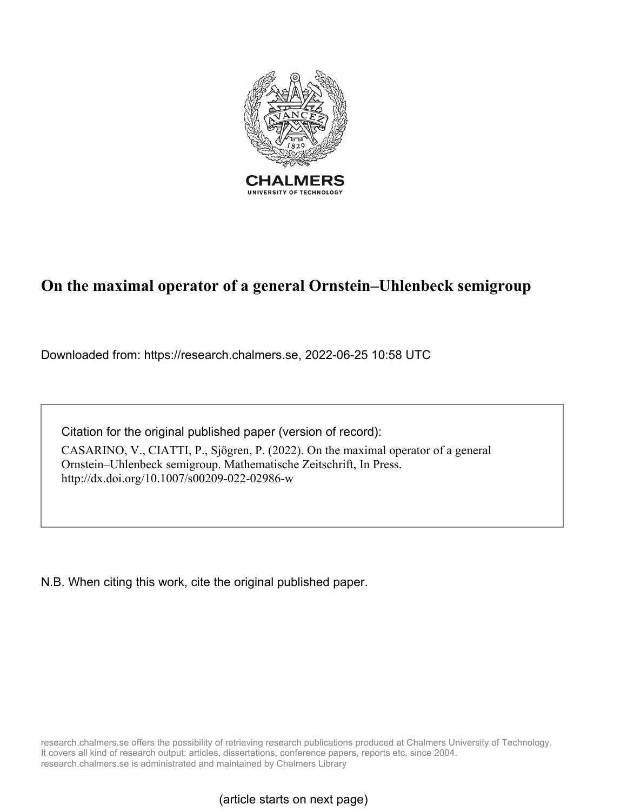

# **On the maximal operator of a general Ornstein–Uhlenbeck semigroup**

Downloaded from: https://research.chalmers.se, 2022-06-25 10:58 UTC

Citation for the original published paper (version of record):

CASARINO, V., CIATTI, P., Sjögren, P. (2022). On the maximal operator of a general Ornstein–Uhlenbeck semigroup. Mathematische Zeitschrift, In Press. http://dx.doi.org/10.1007/s00209-022-02986-w

N.B. When citing this work, cite the original published paper.

research.chalmers.se offers the possibility of retrieving research publications produced at Chalmers University of Technology. It covers all kind of research output: articles, dissertations, conference papers, reports etc. since 2004. research.chalmers.se is administrated and maintained by Chalmers Library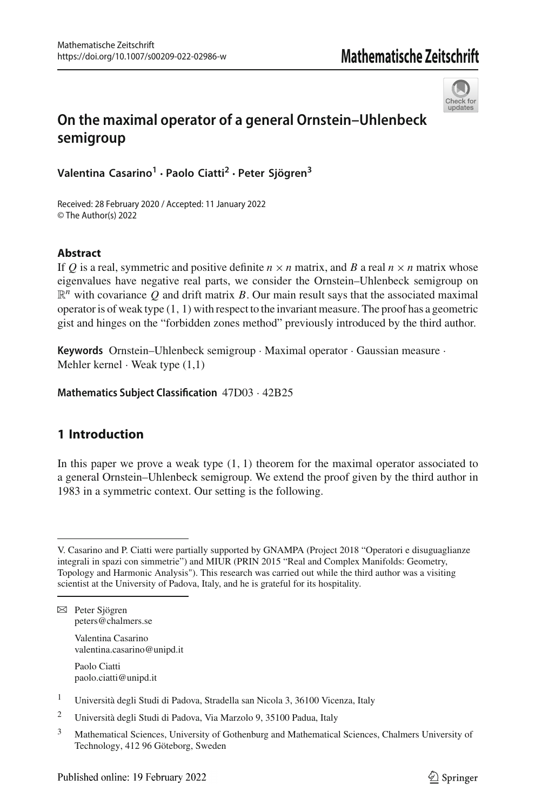

# **On the maximal operator of a general Ornstein–Uhlenbeck semigroup**

**Valentina Casarino<sup>1</sup> · Paolo Ciatti2 · Peter Sjögren<sup>3</sup>**

Received: 28 February 2020 / Accepted: 11 January 2022 © The Author(s) 2022

#### **Abstract**

If *Q* is a real, symmetric and positive definite  $n \times n$  matrix, and *B* a real  $n \times n$  matrix whose eigenvalues have negative real parts, we consider the Ornstein–Uhlenbeck semigroup on  $\mathbb{R}^n$  with covariance *Q* and drift matrix *B*. Our main result says that the associated maximal operator is of weak type (1, 1) with respect to the invariant measure. The proof has a geometric gist and hinges on the "forbidden zones method" previously introduced by the third author.

**Keywords** Ornstein–Uhlenbeck semigroup · Maximal operator · Gaussian measure · Mehler kernel  $\cdot$  Weak type  $(1,1)$ 

**Mathematics Subject Classification** 47D03 · 42B25

# **1 Introduction**

In this paper we prove a weak type  $(1, 1)$  theorem for the maximal operator associated to a general Ornstein–Uhlenbeck semigroup. We extend the proof given by the third author in 1983 in a symmetric context. Our setting is the following.

Valentina Casarino valentina.casarino@unipd.it

Paolo Ciatti paolo.ciatti@unipd.it

V. Casarino and P. Ciatti were partially supported by GNAMPA (Project 2018 "Operatori e disuguaglianze integrali in spazi con simmetrie") and MIUR (PRIN 2015 "Real and Complex Manifolds: Geometry, Topology and Harmonic Analysis"). This research was carried out while the third author was a visiting scientist at the University of Padova, Italy, and he is grateful for its hospitality.

B Peter Sjögren peters@chalmers.se

<sup>1</sup> Università degli Studi di Padova, Stradella san Nicola 3, 36100 Vicenza, Italy

<sup>2</sup> Università degli Studi di Padova, Via Marzolo 9, 35100 Padua, Italy

<sup>&</sup>lt;sup>3</sup> Mathematical Sciences, University of Gothenburg and Mathematical Sciences, Chalmers University of Technology, 412 96 Göteborg, Sweden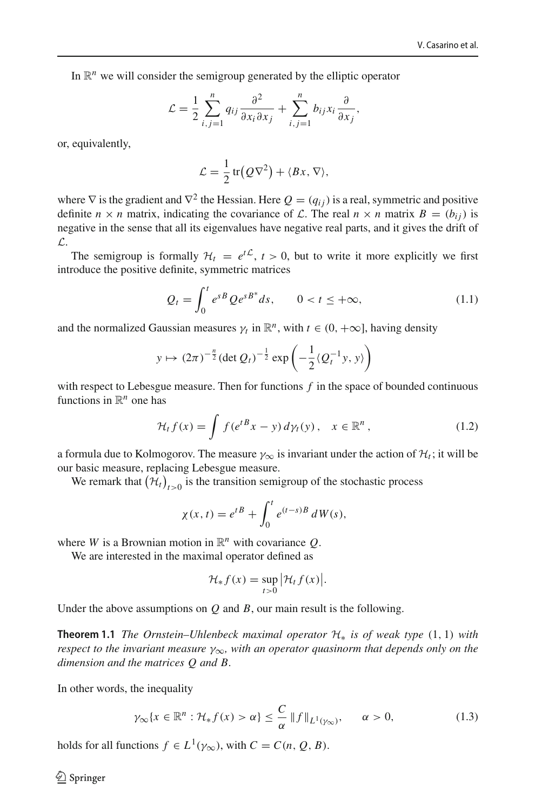In  $\mathbb{R}^n$  we will consider the semigroup generated by the elliptic operator

$$
\mathcal{L} = \frac{1}{2} \sum_{i,j=1}^{n} q_{ij} \frac{\partial^2}{\partial x_i \partial x_j} + \sum_{i,j=1}^{n} b_{ij} x_i \frac{\partial}{\partial x_j},
$$

or, equivalently,

$$
\mathcal{L} = \frac{1}{2} tr(Q\nabla^2) + \langle Bx, \nabla \rangle,
$$

where  $\nabla$  is the gradient and  $\nabla^2$  the Hessian. Here  $Q = (q_{ij})$  is a real, symmetric and positive definite  $n \times n$  matrix, indicating the covariance of *L*. The real  $n \times n$  matrix  $B = (b_{ij})$  is negative in the sense that all its eigenvalues have negative real parts, and it gives the drift of *L*.

The semigroup is formally  $H_t = e^{t\mathcal{L}}$ ,  $t > 0$ , but to write it more explicitly we first introduce the positive definite, symmetric matrices

<span id="page-2-3"></span>
$$
Q_t = \int_0^t e^{sB} Q e^{sB^*} ds, \qquad 0 < t \leq +\infty,\tag{1.1}
$$

and the normalized Gaussian measures  $\gamma_t$  in  $\mathbb{R}^n$ , with  $t \in (0, +\infty]$ , having density

$$
y \mapsto (2\pi)^{-\frac{n}{2}} (\det Q_t)^{-\frac{1}{2}} \exp \left(-\frac{1}{2} \langle Q_t^{-1} y, y \rangle \right)
$$

with respect to Lebesgue measure. Then for functions *f* in the space of bounded continuous functions in  $\mathbb{R}^n$  one has

<span id="page-2-2"></span>
$$
\mathcal{H}_t f(x) = \int f(e^{tB} x - y) d\gamma_t(y), \quad x \in \mathbb{R}^n,
$$
\n(1.2)

a formula due to Kolmogorov. The measure  $\gamma_{\infty}$  is invariant under the action of  $\mathcal{H}_t$ ; it will be our basic measure, replacing Lebesgue measure.

We remark that  $(\mathcal{H}_t)_{t>0}$  is the transition semigroup of the stochastic process

$$
\chi(x,t) = e^{tB} + \int_0^t e^{(t-s)B} dW(s),
$$

where *W* is a Brownian motion in  $\mathbb{R}^n$  with covariance *Q*.

We are interested in the maximal operator defined as

$$
\mathcal{H}_* f(x) = \sup_{t>0} \big|\mathcal{H}_t f(x)\big|.
$$

<span id="page-2-1"></span>Under the above assumptions on *Q* and *B*, our main result is the following.

**Theorem 1.1** *The Ornstein–Uhlenbeck maximal operator H*<sup>∗</sup> *is of weak type* (1, 1) *with respect to the invariant measure*  $\gamma_{\infty}$ *, with an operator quasinorm that depends only on the dimension and the matrices Q and B.*

In other words, the inequality

<span id="page-2-0"></span>
$$
\gamma_{\infty}\{x \in \mathbb{R}^n : \mathcal{H}_* f(x) > \alpha\} \le \frac{C}{\alpha} \|f\|_{L^1(\gamma_{\infty})}, \qquad \alpha > 0,
$$
\n(1.3)

holds for all functions  $f \in L^1(\gamma_\infty)$ , with  $C = C(n, Q, B)$ .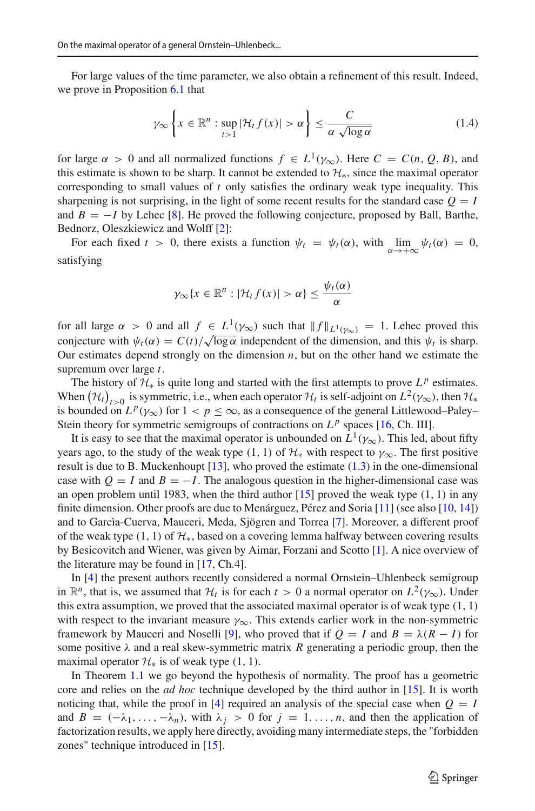For large values of the time parameter, we also obtain a refinement of this result. Indeed, we prove in Proposition [6.1](#page-14-0) that

<span id="page-3-0"></span>
$$
\gamma_{\infty} \left\{ x \in \mathbb{R}^n : \sup_{t > 1} |\mathcal{H}_t f(x)| > \alpha \right\} \le \frac{C}{\alpha \sqrt{\log \alpha}} \tag{1.4}
$$

for large  $\alpha > 0$  and all normalized functions  $f \in L^1(\gamma_\infty)$ . Here  $C = C(n, Q, B)$ , and this estimate is shown to be sharp. It cannot be extended to *H*∗, since the maximal operator corresponding to small values of *t* only satisfies the ordinary weak type inequality. This sharpening is not surprising, in the light of some recent results for the standard case  $Q = I$ and  $B = -I$  by Lehec [\[8\]](#page-21-0). He proved the following conjecture, proposed by Ball, Barthe, Bednorz, Oleszkiewicz and Wolff [\[2](#page-20-0)]:

For each fixed  $t > 0$ , there exists a function  $\psi_t = \psi_t(\alpha)$ , with  $\lim_{\alpha \to +\infty} \psi_t(\alpha) = 0$ , satisfying

$$
\gamma_{\infty}\{x\in\mathbb{R}^n:|\mathcal{H}_t f(x)|>\alpha\}\leq \frac{\psi_t(\alpha)}{\alpha}
$$

for all large  $\alpha > 0$  and all  $f \in L^1(\gamma_\infty)$  such that  $||f||_{L^1(\gamma_\infty)} = 1$ . Lehec proved this conjecture with  $\psi_t(\alpha) = C(t)/\sqrt{\log \alpha}$  independent of the dimension, and this  $\psi_t$  is sharp. Our estimates depend strongly on the dimension  $n$ , but on the other hand we estimate the supremum over large *t*.

The history of  $H_*$  is quite long and started with the first attempts to prove  $L^p$  estimates. When  $(\mathcal{H}_t)_{t>0}$  is symmetric, i.e., when each operator  $\mathcal{H}_t$  is self-adjoint on  $L^2(\gamma_\infty)$ , then  $\mathcal{H}_*$ is bounded on  $L^p(\gamma_\infty)$  for  $1 < p \leq \infty$ , as a consequence of the general Littlewood–Paley– Stein theory for symmetric semigroups of contractions on  $L^p$  spaces [\[16,](#page-21-1) Ch. III].

It is easy to see that the maximal operator is unbounded on  $L^1(\gamma_\infty)$ . This led, about fifty years ago, to the study of the weak type (1, 1) of  $H_*$  with respect to  $\gamma_\infty$ . The first positive result is due to B. Muckenhoupt  $[13]$  $[13]$ , who proved the estimate  $(1.3)$  in the one-dimensional case with  $Q = I$  and  $B = -I$ . The analogous question in the higher-dimensional case was an open problem until 1983, when the third author  $[15]$  $[15]$  proved the weak type  $(1, 1)$  in any finite dimension. Other proofs are due to Menárguez, Pérez and Soria [\[11\]](#page-21-4) (see also [\[10,](#page-21-5) [14\]](#page-21-6)) and to Garcìa-Cuerva, Mauceri, Meda, Sjögren and Torrea [\[7\]](#page-20-1). Moreover, a different proof of the weak type (1, 1) of *H*∗, based on a covering lemma halfway between covering results by Besicovitch and Wiener, was given by Aimar, Forzani and Scotto [\[1\]](#page-20-2). A nice overview of the literature may be found in [\[17](#page-21-7), Ch.4].

In [\[4](#page-20-3)] the present authors recently considered a normal Ornstein–Uhlenbeck semigroup in  $\mathbb{R}^n$ , that is, we assumed that  $\mathcal{H}_t$  is for each  $t > 0$  a normal operator on  $L^2(\gamma_\infty)$ . Under this extra assumption, we proved that the associated maximal operator is of weak type  $(1, 1)$ with respect to the invariant measure  $\gamma_{\infty}$ . This extends earlier work in the non-symmetric framework by Mauceri and Noselli [\[9](#page-21-8)], who proved that if  $Q = I$  and  $B = \lambda (R - I)$  for some positive  $\lambda$  and a real skew-symmetric matrix *R* generating a periodic group, then the maximal operator  $\mathcal{H}_*$  is of weak type  $(1, 1)$ .

In Theorem [1.1](#page-2-1) we go beyond the hypothesis of normality. The proof has a geometric core and relies on the *ad hoc* technique developed by the third author in [\[15](#page-21-3)]. It is worth noticing that, while the proof in [\[4](#page-20-3)] required an analysis of the special case when  $Q = I$ and  $B = (-\lambda_1, \ldots, -\lambda_n)$ , with  $\lambda_j > 0$  for  $j = 1, \ldots, n$ , and then the application of factorization results, we apply here directly, avoiding many intermediate steps, the "forbidden zones" technique introduced in [\[15](#page-21-3)].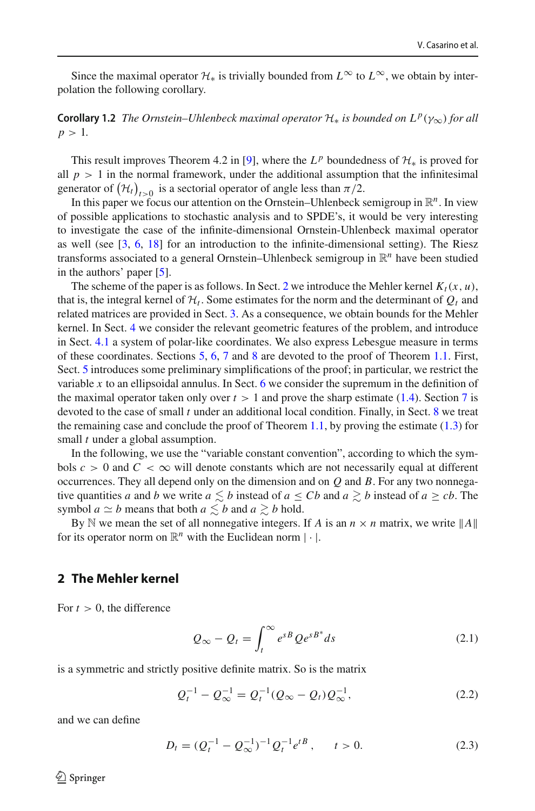Since the maximal operator  $\mathcal{H}_*$  is trivially bounded from  $L^{\infty}$  to  $L^{\infty}$ , we obtain by interpolation the following corollary.

**Corollary 1.2** *The Ornstein–Uhlenbeck maximal operator*  $\mathcal{H}_*$  *is bounded on*  $L^p(\gamma_\infty)$  *for all*  $p > 1$ .

This result improves Theorem 4.2 in [\[9](#page-21-8)], where the  $L^p$  boundedness of  $\mathcal{H}_*$  is proved for all  $p > 1$  in the normal framework, under the additional assumption that the infinitesimal generator of  $(\mathcal{H}_t)_{t>0}$  is a sectorial operator of angle less than  $\pi/2$ .

In this paper we focus our attention on the Ornstein–Uhlenbeck semigroup in  $\mathbb{R}^n$ . In view of possible applications to stochastic analysis and to SPDE's, it would be very interesting to investigate the case of the infinite-dimensional Ornstein-Uhlenbeck maximal operator as well (see [\[3,](#page-20-4) [6](#page-20-5), [18\]](#page-21-9) for an introduction to the infinite-dimensional setting). The Riesz transforms associated to a general Ornstein–Uhlenbeck semigroup in  $\mathbb{R}^n$  have been studied in the authors' paper [\[5\]](#page-20-6).

The scheme of the paper is as follows. In Sect. [2](#page-4-0) we introduce the Mehler kernel  $K_t(x, u)$ , that is, the integral kernel of  $\mathcal{H}_t$ . Some estimates for the norm and the determinant of  $Q_t$  and related matrices are provided in Sect. [3.](#page-6-0) As a consequence, we obtain bounds for the Mehler kernel. In Sect. [4](#page-8-0) we consider the relevant geometric features of the problem, and introduce in Sect. [4.1](#page-8-1) a system of polar-like coordinates. We also express Lebesgue measure in terms of these coordinates. Sections [5,](#page-12-0) [6,](#page-14-1) [7](#page-16-0) and [8](#page-16-1) are devoted to the proof of Theorem [1.1.](#page-2-1) First, Sect. [5](#page-12-0) introduces some preliminary simplifications of the proof; in particular, we restrict the variable *x* to an ellipsoidal annulus. In Sect. [6](#page-14-1) we consider the supremum in the definition of the maximal operator taken only over  $t > 1$  and prove the sharp estimate [\(1.4\)](#page-3-0). Section [7](#page-16-0) is devoted to the case of small *t* under an additional local condition. Finally, in Sect. [8](#page-16-1) we treat the remaining case and conclude the proof of Theorem [1.1,](#page-2-1) by proving the estimate  $(1.3)$  for small *t* under a global assumption.

In the following, we use the "variable constant convention", according to which the symbols  $c > 0$  and  $C < \infty$  will denote constants which are not necessarily equal at different occurrences. They all depend only on the dimension and on *Q* and *B*. For any two nonnegative quantities *a* and *b* we write  $a \leq b$  instead of  $a \leq Cb$  and  $a \geq b$  instead of  $a \geq cb$ . The symbol  $a \simeq b$  means that both  $a \lesssim b$  and  $a \gtrsim b$  hold.

By N we mean the set of all nonnegative integers. If *A* is an  $n \times n$  matrix, we write  $||A||$ for its operator norm on  $\mathbb{R}^n$  with the Euclidean norm  $|\cdot|$ .

#### <span id="page-4-0"></span>**2 The Mehler kernel**

For  $t > 0$ , the difference

<span id="page-4-1"></span>
$$
Q_{\infty} - Q_t = \int_t^{\infty} e^{sB} Q e^{sB^*} ds
$$
 (2.1)

is a symmetric and strictly positive definite matrix. So is the matrix

<span id="page-4-3"></span>
$$
Q_t^{-1} - Q_\infty^{-1} = Q_t^{-1} (Q_\infty - Q_t) Q_\infty^{-1},
$$
\n(2.2)

and we can define

<span id="page-4-2"></span>
$$
D_t = (Q_t^{-1} - Q_\infty^{-1})^{-1} Q_t^{-1} e^{tB}, \qquad t > 0.
$$
 (2.3)

 $\mathcal{L}$  Springer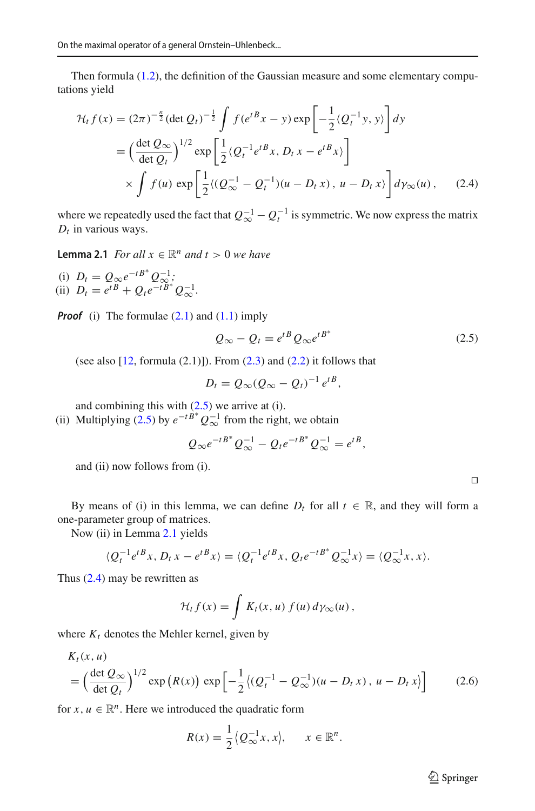Then formula [\(1.2\)](#page-2-2), the definition of the Gaussian measure and some elementary computations yield

$$
\mathcal{H}_t f(x) = (2\pi)^{-\frac{n}{2}} (\det Q_t)^{-\frac{1}{2}} \int f(e^{tB}x - y) \exp\left[ -\frac{1}{2} \langle Q_t^{-1}y, y \rangle \right] dy
$$
  
=  $\left( \frac{\det Q_{\infty}}{\det Q_t} \right)^{1/2} \exp\left[ \frac{1}{2} \langle Q_t^{-1} e^{tB}x, D_t x - e^{tB}x \rangle \right]$   
 $\times \int f(u) \exp\left[ \frac{1}{2} \langle (Q_{\infty}^{-1} - Q_t^{-1})(u - D_t x), u - D_t x \rangle \right] d\gamma_{\infty}(u),$  (2.4)

<span id="page-5-1"></span>where we repeatedly used the fact that  $Q_{\infty}^{-1} - Q_t^{-1}$  is symmetric. We now express the matrix  $D_t$  in various ways.

**Lemma 2.1** *For all*  $x \in \mathbb{R}^n$  *and*  $t > 0$  *we have* 

(i)  $D_t = Q_\infty e^{-tB^*} Q_\infty^{-1};$ (ii)  $D_t = e^{tB} + Q_t e^{-tB^*} Q_{\infty}^{-1}$ .

*Proof* (i) The formulae  $(2.1)$  and  $(1.1)$  imply

<span id="page-5-2"></span><span id="page-5-0"></span>
$$
Q_{\infty} - Q_t = e^{tB} Q_{\infty} e^{tB^*}
$$
 (2.5)

(see also  $[12, \text{formula } (2.1)]$  $[12, \text{formula } (2.1)]$ ). From  $(2.3)$  and  $(2.2)$  it follows that

$$
D_t = Q_\infty (Q_\infty - Q_t)^{-1} e^{tB},
$$

and combining this with  $(2.5)$  we arrive at (i).

(ii) Multiplying [\(2.5\)](#page-5-0) by  $e^{-t} B^* Q^{-1}_{\infty}$  from the right, we obtain

$$
Q_{\infty}e^{-tB^*}Q_{\infty}^{-1}-Q_t e^{-tB^*}Q_{\infty}^{-1}=e^{tB},
$$

and (ii) now follows from (i).

By means of (i) in this lemma, we can define  $D_t$  for all  $t \in \mathbb{R}$ , and they will form a one-parameter group of matrices.

Now (ii) in Lemma [2.1](#page-5-1) yields

$$
\langle Q_t^{-1}e^{tB}x, D_t x - e^{tB}x \rangle = \langle Q_t^{-1}e^{tB}x, Q_t e^{-tB^*}Q_{\infty}^{-1}x \rangle = \langle Q_{\infty}^{-1}x, x \rangle.
$$

Thus [\(2.4\)](#page-5-2) may be rewritten as

$$
\mathcal{H}_t f(x) = \int K_t(x, u) f(u) d\gamma_\infty(u),
$$

where  $K_t$  denotes the Mehler kernel, given by

$$
K_t(x, u)
$$
  
=  $\left(\frac{\det Q_{\infty}}{\det Q_t}\right)^{1/2} \exp(R(x)) \exp\left[-\frac{1}{2}\left((Q_t^{-1} - Q_{\infty}^{-1})(u - D_t x), u - D_t x\right)\right]$  (2.6)

for  $x, u \in \mathbb{R}^n$ . Here we introduced the quadratic form

$$
R(x) = \frac{1}{2} \langle Q_\infty^{-1} x, x \rangle, \quad x \in \mathbb{R}^n.
$$

<span id="page-5-3"></span> $\hat{\mathfrak{D}}$  Springer

 $\Box$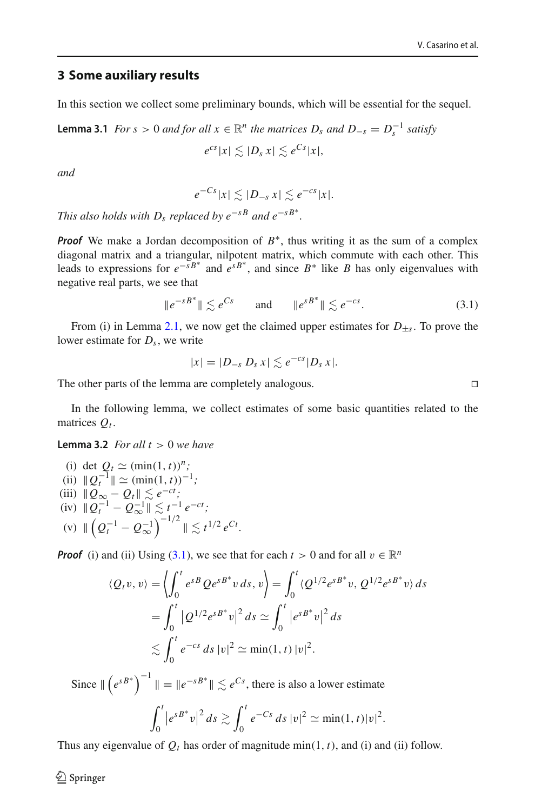#### <span id="page-6-0"></span>**3 Some auxiliary results**

<span id="page-6-2"></span>In this section we collect some preliminary bounds, which will be essential for the sequel.

**Lemma 3.1** *For* 
$$
s > 0
$$
 *and for all*  $x \in \mathbb{R}^n$  *the matrices*  $D_s$  *and*  $D_{-s} = D_s^{-1}$  *satisfy*  

$$
e^{cs}|x| \lesssim |D_s x| \lesssim e^{Cs}|x|,
$$

*and*

$$
e^{-Cs}|x| \lesssim |D_{-s} x| \lesssim e^{-cs}|x|.
$$

*This also holds with D<sub>s</sub> replaced by*  $e^{-sB}$  *and*  $e^{-sB^*}$ *.* 

*Proof* We make a Jordan decomposition of  $B^*$ , thus writing it as the sum of a complex diagonal matrix and a triangular, nilpotent matrix, which commute with each other. This leads to expressions for  $e^{-sB^*}$  and  $e^{sB^*}$ , and since  $B^*$  like *B* has only eigenvalues with negative real parts, we see that

<span id="page-6-1"></span>
$$
||e^{-sB^*}|| \lesssim e^{Cs} \qquad \text{and} \qquad ||e^{sB^*}|| \lesssim e^{-cs}.
$$
 (3.1)

From (i) in Lemma [2.1,](#page-5-1) we now get the claimed upper estimates for  $D_{\pm s}$ . To prove the lower estimate for *Ds*, we write

$$
|x|=|D_{-s} D_s x|\lesssim e^{-cs}|D_s x|.
$$

The other parts of the lemma are completely analogous.

<span id="page-6-3"></span>In the following lemma, we collect estimates of some basic quantities related to the matrices  $O_t$ .

**Lemma 3.2** *For all*  $t > 0$  *we have* 

(i) det  $Q_t \simeq (\min(1, t))^n$ ;  $(iii)$   $||Q_t^{-1}|| \simeq (\min(1, t))^{-1}$ ; (iii)  $||Q_{\infty} - Q_t|| \leq e^{-ct}$ ;  $(\text{iv})$   $||Q_t^{-1} - Q_{\infty}^{-1}|| \lesssim t^{-1} e^{-ct}$ ; (v)  $\| \left( Q_t^{-1} - Q_{\infty}^{-1} \right)^{-1/2} \| \lesssim t^{1/2} e^{Ct}$ .

*Proof* (i) and (ii) Using [\(3.1\)](#page-6-1), we see that for each  $t > 0$  and for all  $v \in \mathbb{R}^n$ 

$$
\langle Q_t v, v \rangle = \left\langle \int_0^t e^{sB} Q e^{sB^*} v \, ds, v \right\rangle = \int_0^t \langle Q^{1/2} e^{sB^*} v, Q^{1/2} e^{sB^*} v \rangle \, ds
$$
  
=  $\int_0^t |Q^{1/2} e^{sB^*} v|^2 \, ds \simeq \int_0^t |e^{sB^*} v|^2 \, ds$   
 $\lesssim \int_0^t e^{-cs} \, ds |v|^2 \simeq \min(1, t) |v|^2.$ 

Since  $\| \left( e^{s B^*} \right)^{-1} \| = \| e^{-s B^*} \| \leq e^{Cs}$ , there is also a lower estimate

$$
\int_0^t |e^{sB^*}v|^2 ds \gtrsim \int_0^t e^{-Cs} ds |v|^2 \simeq \min(1,t)|v|^2.
$$

Thus any eigenvalue of  $Q_t$  has order of magnitude min(1, t), and (i) and (ii) follow.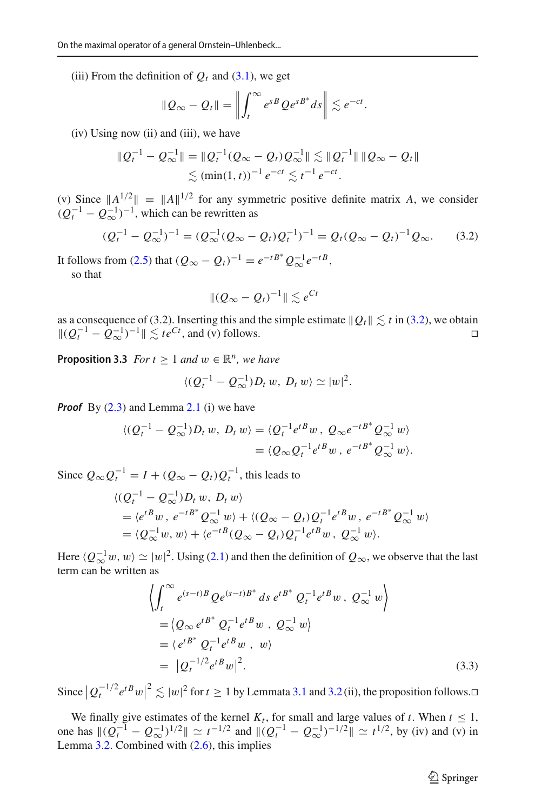(iii) From the definition of  $Q_t$  and [\(3.1\)](#page-6-1), we get

$$
\|Q_{\infty}-Q_t\|=\left\|\int_t^{\infty}e^{sB}Qe^{sB^*}ds\right\|\lesssim e^{-ct}.
$$

(iv) Using now (ii) and (iii), we have

$$
\|Q_t^{-1} - Q_\infty^{-1}\| = \|Q_t^{-1}(Q_\infty - Q_t)Q_\infty^{-1}\| \lesssim \|Q_t^{-1}\| \|Q_\infty - Q_t\|
$$
  
\$\lesssim (\min(1, t))^{-1} e^{-ct} \lesssim t^{-1} e^{-ct} .

(v) Since  $||A^{1/2}|| = ||A||^{1/2}$  for any symmetric positive definite matrix *A*, we consider  $(Q_t^{-1} - Q_{\infty}^{-1})^{-1}$ , which can be rewritten as

$$
(Q_t^{-1} - Q_\infty^{-1})^{-1} = (Q_\infty^{-1}(Q_\infty - Q_t)Q_t^{-1})^{-1} = Q_t(Q_\infty - Q_t)^{-1}Q_\infty.
$$
 (3.2)

It follows from [\(2.5\)](#page-5-0) that  $(Q_{\infty} - Q_t)^{-1} = e^{-tB^*} Q_{\infty}^{-1} e^{-tB}$ , so that

<span id="page-7-0"></span>
$$
\| (Q_{\infty} - Q_t)^{-1} \| \lesssim e^{Ct}
$$

as a consequence of [\(3.2\)](#page-7-0). Inserting this and the simple estimate  $\|Q_t\| \lesssim t$  in (3.2), we obtain  $||(Q_t^{-1} - Q_\infty^{-1})^{-1}|| \lesssim t e^{Ct}$ , and (v) follows.  $□$ 

<span id="page-7-1"></span>**Proposition 3.3** *For t* > 1 *and*  $w \in \mathbb{R}^n$ *, we have* 

$$
\langle (Q_t^{-1}-Q_\infty^{-1})D_t w, D_t w \rangle \simeq |w|^2.
$$

**Proof** By  $(2.3)$  and Lemma [2.1](#page-5-1) (i) we have

$$
\langle (Q_t^{-1} - Q_\infty^{-1})D_t w, D_t w \rangle = \langle Q_t^{-1} e^{t B} w, Q_\infty e^{-t B^*} Q_\infty^{-1} w \rangle
$$
  
=  $\langle Q_\infty Q_t^{-1} e^{t B} w, e^{-t B^*} Q_\infty^{-1} w \rangle.$ 

Since  $Q_{\infty}Q_t^{-1} = I + (Q_{\infty} - Q_t)Q_t^{-1}$ , this leads to

$$
\langle (Q_t^{-1} - Q_\infty^{-1})D_t w, D_t w \rangle
$$
  
=  $\langle e^{tB}w, e^{-tB^*}Q_\infty^{-1}w \rangle + \langle (Q_\infty - Q_t)Q_t^{-1}e^{tB}w, e^{-tB^*}Q_\infty^{-1}w \rangle$   
=  $\langle Q_\infty^{-1}w, w \rangle + \langle e^{-tB}(Q_\infty - Q_t)Q_t^{-1}e^{tB}w, Q_\infty^{-1}w \rangle.$ 

Here  $\langle Q_{\infty}^{-1}w, w \rangle \simeq |w|^2$ . Using [\(2.1\)](#page-4-1) and then the definition of  $Q_{\infty}$ , we observe that the last term can be written as

$$
\left\langle \int_{t}^{\infty} e^{(s-t)B} Q e^{(s-t)B^*} ds e^{tB^*} Q_{t}^{-1} e^{tB} w, Q_{\infty}^{-1} w \right\rangle
$$
  
=\left\langle Q\_{\infty} e^{tB^\*} Q\_{t}^{-1} e^{tB} w, Q\_{\infty}^{-1} w \right\rangle  
=\left\langle e^{tB^\*} Q\_{t}^{-1} e^{tB} w, w \right\rangle  
=\left| Q\_{t}^{-1/2} e^{tB} w \right|^2. (3.3)

Since  $|Q_t^{-1/2}e^{tB}w|^2 \lesssim |w|^2$  for  $t \ge 1$  by Lemmata [3.1](#page-6-2) and [3.2](#page-6-3) (ii), the proposition follows. $\Box$ 

We finally give estimates of the kernel  $K_t$ , for small and large values of *t*. When  $t \leq 1$ , one has  $\|(Q_t^{-1} - Q_\infty^{-1})^{1/2}\| \simeq t^{-1/2}$  and  $\|(Q_t^{-1} - Q_\infty^{-1})^{-1/2}\| \simeq t^{1/2}$ , by (iv) and (v) in Lemma [3.2.](#page-6-3) Combined with [\(2.6\)](#page-5-3), this implies

 $\hat{\mathfrak{D}}$  Springer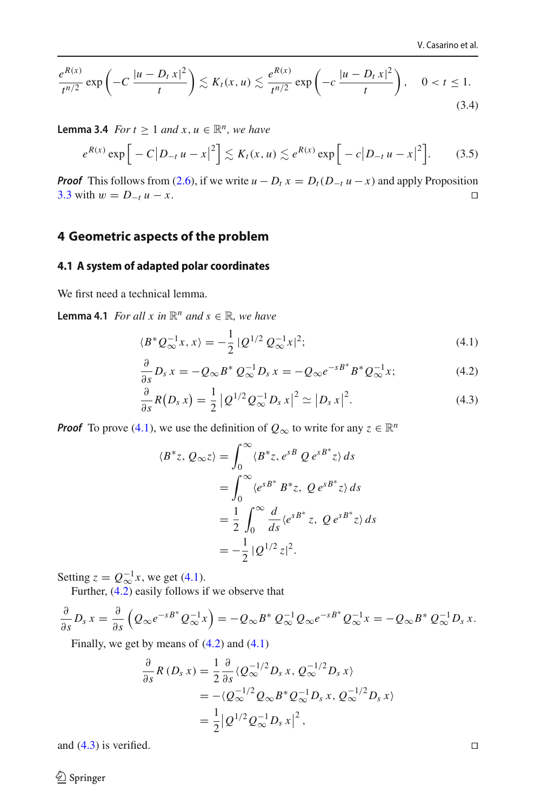<span id="page-8-6"></span>
$$
\frac{e^{R(x)}}{t^{n/2}}\exp\left(-C\,\frac{|u-D_tx|^2}{t}\right)\lesssim K_t(x,u)\lesssim\frac{e^{R(x)}}{t^{n/2}}\exp\left(-C\,\frac{|u-D_tx|^2}{t}\right),\quad 0\n(3.4)
$$

**Lemma 3.4** *For t* > 1 *and x, u*  $\in \mathbb{R}^n$ *, we have* 

<span id="page-8-5"></span>
$$
e^{R(x)} \exp \Big[ -C \big| D_{-t} u - x \big|^2 \Big] \lesssim K_t(x, u) \lesssim e^{R(x)} \exp \Big[ -c \big| D_{-t} u - x \big|^2 \Big]. \tag{3.5}
$$

*Proof* This follows from [\(2.6\)](#page-5-3), if we write  $u - D_t x = D_t (D_{-t} u - x)$  and apply Proposition 3.3 with  $w = D_{-t} u - x$ . [3.3](#page-7-1) with  $w = D_{-t} u - x$ .

#### <span id="page-8-0"></span>**4 Geometric aspects of the problem**

#### <span id="page-8-1"></span>**4.1 A system of adapted polar coordinates**

We first need a technical lemma.

**Lemma 4.1** *For all x in*  $\mathbb{R}^n$  *and*  $s \in \mathbb{R}$ *, we have* 

<span id="page-8-2"></span>
$$
\langle B^* \mathcal{Q}_{\infty}^{-1} x, x \rangle = -\frac{1}{2} \, | \mathcal{Q}^{1/2} \, \mathcal{Q}_{\infty}^{-1} x |^2; \tag{4.1}
$$

$$
\frac{\partial}{\partial s}D_s x = -Q_\infty B^* Q_\infty^{-1} D_s x = -Q_\infty e^{-sB^*} B^* Q_\infty^{-1} x; \tag{4.2}
$$

$$
\frac{\partial}{\partial s}R(D_s x) = \frac{1}{2} |Q^{1/2} Q_{\infty}^{-1} D_s x|^2 \simeq |D_s x|^2.
$$
 (4.3)

*Proof* To prove [\(4.1\)](#page-8-2), we use the definition of  $Q_{\infty}$  to write for any  $z \in \mathbb{R}^n$ 

<span id="page-8-4"></span><span id="page-8-3"></span>
$$
\langle B^*z, Q_{\infty}z \rangle = \int_0^{\infty} \langle B^*z, e^{sB} Q e^{sB^*}z \rangle ds
$$
  
= 
$$
\int_0^{\infty} \langle e^{sB^*} B^*z, Q e^{sB^*}z \rangle ds
$$
  
= 
$$
\frac{1}{2} \int_0^{\infty} \frac{d}{ds} \langle e^{sB^*}z, Q e^{sB^*}z \rangle ds
$$
  
= 
$$
-\frac{1}{2} |Q^{1/2}z|^2.
$$

Setting  $z = Q_{\infty}^{-1}x$ , we get [\(4.1\)](#page-8-2).

Further,  $(4.2)$  easily follows if we observe that

$$
\frac{\partial}{\partial s}D_s x = \frac{\partial}{\partial s}\left(Q_\infty e^{-sB^*}Q_\infty^{-1}x\right) = -Q_\infty B^* Q_\infty^{-1}Q_\infty e^{-sB^*}Q_\infty^{-1}x = -Q_\infty B^* Q_\infty^{-1}D_s x.
$$

Finally, we get by means of  $(4.2)$  and  $(4.1)$ 

$$
\frac{\partial}{\partial s}R(D_s x) = \frac{1}{2}\frac{\partial}{\partial s}\langle Q_{\infty}^{-1/2}D_s x, Q_{\infty}^{-1/2}D_s x \rangle
$$
  
= -\langle Q\_{\infty}^{-1/2}Q\_{\infty}B^\*Q\_{\infty}^{-1}D\_s x, Q\_{\infty}^{-1/2}D\_s x \rangle  
= \frac{1}{2}|\mathcal{Q}^{1/2}Q\_{\infty}^{-1}D\_s x|^2,

and  $(4.3)$  is verified.

 $\bigcirc$  Springer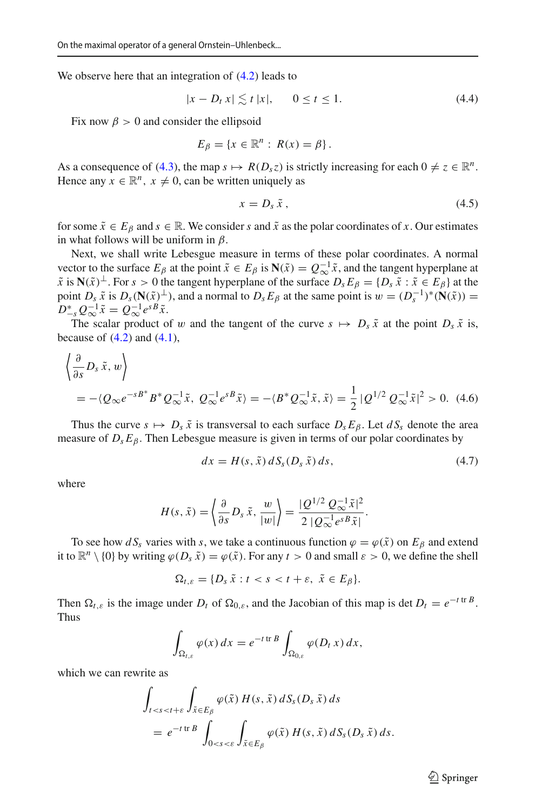We observe here that an integration of  $(4.2)$  leads to

<span id="page-9-2"></span>
$$
|x - D_t x| \lesssim t |x|, \qquad 0 \le t \le 1. \tag{4.4}
$$

Fix now  $\beta > 0$  and consider the ellipsoid

$$
E_{\beta} = \{x \in \mathbb{R}^n : R(x) = \beta\}.
$$

As a consequence of [\(4.3\)](#page-8-4), the map  $s \mapsto R(D_s z)$  is strictly increasing for each  $0 \neq z \in \mathbb{R}^n$ . Hence any  $x \in \mathbb{R}^n$ ,  $x \neq 0$ , can be written uniquely as

<span id="page-9-3"></span>
$$
x = D_s \tilde{x}, \qquad (4.5)
$$

for some  $\tilde{x} \in E_\beta$  and  $s \in \mathbb{R}$ . We consider *s* and  $\tilde{x}$  as the polar coordinates of *x*. Our estimates in what follows will be uniform in  $\beta$ .

Next, we shall write Lebesgue measure in terms of these polar coordinates. A normal vector to the surface  $E_\beta$  at the point  $\tilde{x} \in E_\beta$  is  $N(\tilde{x}) = Q_\alpha^{-1} \tilde{x}$ , and the tangent hyperplane at  $\tilde{x}$  is  $N(\tilde{x})^{\perp}$ . For  $s > 0$  the tangent hyperplane of the surface  $D_s E_\beta = \{D_s \tilde{x} : \tilde{x} \in E_\beta\}$  at the point *D<sub>s</sub>*  $\tilde{x}$  is  $D_s(\mathbf{N}(\tilde{x})^{\perp})$ , and a normal to  $D_s E_\beta$  at the same point is  $w = (D_s^{-1})^*(\mathbf{N}(\tilde{x}))$  $D_{-s}^* Q_{\infty}^{-1} \tilde{x} = Q_{\infty}^{-1} e^{sB} \tilde{x}.$ 

The scalar product of w and the tangent of the curve  $s \mapsto D_s \tilde{x}$  at the point  $D_s \tilde{x}$  is, because of  $(4.2)$  and  $(4.1)$ ,

$$
\left\langle \frac{\partial}{\partial s} D_s \tilde{x}, w \right\rangle
$$
  
= -\langle Q\_{\infty} e^{-sB^\*} B^\* Q\_{\infty}^{-1} \tilde{x}, Q\_{\infty}^{-1} e^{sB} \tilde{x} \rangle = -\langle B^\* Q\_{\infty}^{-1} \tilde{x}, \tilde{x} \rangle = \frac{1}{2} |Q^{1/2} Q\_{\infty}^{-1} \tilde{x}|^2 > 0. (4.6)

Thus the curve  $s \mapsto D_s \tilde{x}$  is transversal to each surface  $D_s E_\beta$ . Let  $dS_s$  denote the area measure of  $D_s E_\beta$ . Then Lebesgue measure is given in terms of our polar coordinates by

<span id="page-9-1"></span><span id="page-9-0"></span>
$$
dx = H(s, \tilde{x}) dSs (Ds \tilde{x}) ds, \qquad (4.7)
$$

where

$$
H(s,\tilde{x}) = \left\langle \frac{\partial}{\partial s} D_s \tilde{x}, \frac{w}{|w|} \right\rangle = \frac{|Q^{1/2} Q_{\infty}^{-1} \tilde{x}|^2}{2 |Q_{\infty}^{-1} e^{s B} \tilde{x}|}.
$$

To see how  $dS<sub>s</sub>$  varies with *s*, we take a continuous function  $\varphi = \varphi(\tilde{x})$  on  $E<sub>\beta</sub>$  and extend it to  $\mathbb{R}^n \setminus \{0\}$  by writing  $\varphi(D, \tilde{x}) = \varphi(\tilde{x})$ . For any  $t > 0$  and small  $\varepsilon > 0$ , we define the shell

$$
\Omega_{t,\varepsilon} = \{D_s \, \tilde{x} : t < s < t + \varepsilon, \, \tilde{x} \in E_\beta\}.
$$

Then  $\Omega_{t,\varepsilon}$  is the image under  $D_t$  of  $\Omega_{0,\varepsilon}$ , and the Jacobian of this map is det  $D_t = e^{-t \text{tr } B}$ . Thus

$$
\int_{\Omega_{t,\varepsilon}} \varphi(x) dx = e^{-t \operatorname{tr} B} \int_{\Omega_{0,\varepsilon}} \varphi(D_t x) dx,
$$

which we can rewrite as

$$
\int_{t\n
$$
= e^{-t \operatorname{tr} B} \int_{0
$$
$$

 $\circled{2}$  Springer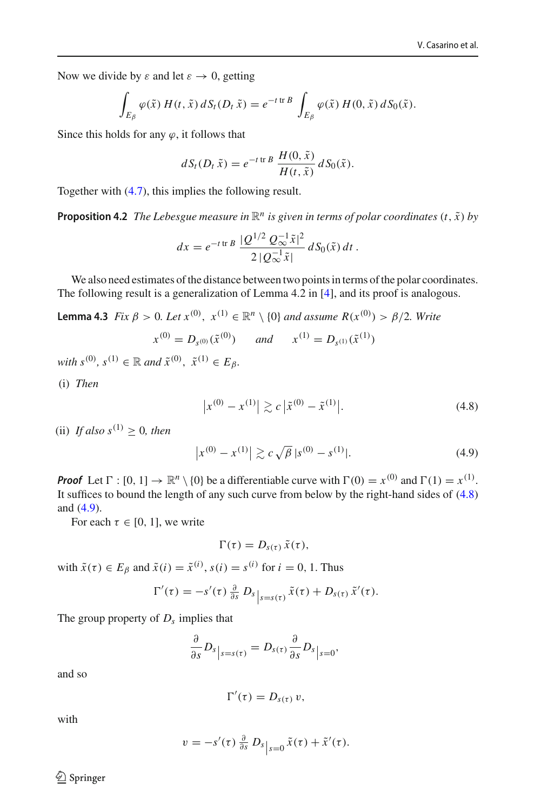Now we divide by  $\varepsilon$  and let  $\varepsilon \to 0$ , getting

$$
\int_{E_{\beta}} \varphi(\tilde{x}) H(t, \tilde{x}) dS_t(D_t \tilde{x}) = e^{-t \operatorname{tr} B} \int_{E_{\beta}} \varphi(\tilde{x}) H(0, \tilde{x}) dS_0(\tilde{x}).
$$

Since this holds for any  $\varphi$ , it follows that

$$
dS_t(D_t \tilde{x}) = e^{-t \operatorname{tr} B} \frac{H(0, \tilde{x})}{H(t, \tilde{x})} dS_0(\tilde{x}).
$$

<span id="page-10-2"></span>Together with [\(4.7\)](#page-9-0), this implies the following result.

**Proposition 4.2** *The Lebesgue measure in*  $\mathbb{R}^n$  *is given in terms of polar coordinates*  $(t, \tilde{x})$  *by* 

<span id="page-10-3"></span>
$$
dx = e^{-t \operatorname{tr} B} \frac{Q^{1/2} Q_{\infty}^{-1} \tilde{x}|^2}{2 |Q_{\infty}^{-1} \tilde{x}|} dS_0(\tilde{x}) dt.
$$

We also need estimates of the distance between two points in terms of the polar coordinates. The following result is a generalization of Lemma 4.2 in [\[4](#page-20-3)], and its proof is analogous.

**Lemma 4.3** *Fix*  $\beta > 0$ *. Let*  $x^{(0)}$ *,*  $x^{(1)} \in \mathbb{R}^n \setminus \{0\}$  *and assume*  $R(x^{(0)}) > \beta/2$ *. Write* 

$$
x^{(0)} = D_{s^{(0)}}(\tilde{x}^{(0)}) \quad \text{and} \quad x^{(1)} = D_{s^{(1)}}(\tilde{x}^{(1)})
$$

 $with s^{(0)}, s^{(1)} \in \mathbb{R} \text{ and } \tilde{x}^{(0)}, \tilde{x}^{(1)} \in E_{\beta}.$ 

(i) *Then*

<span id="page-10-0"></span>
$$
\left| x^{(0)} - x^{(1)} \right| \gtrsim c \left| \tilde{x}^{(0)} - \tilde{x}^{(1)} \right|.
$$
 (4.8)

(ii) *If also*  $s^{(1)} > 0$ *, then* 

<span id="page-10-1"></span>
$$
\left| x^{(0)} - x^{(1)} \right| \gtrsim c \sqrt{\beta} \, |s^{(0)} - s^{(1)}|.
$$

*Proof* Let  $\Gamma : [0, 1] \to \mathbb{R}^n \setminus \{0\}$  be a differentiable curve with  $\Gamma(0) = x^{(0)}$  and  $\Gamma(1) = x^{(1)}$ . It suffices to bound the length of any such curve from below by the right-hand sides of [\(4.8\)](#page-10-0) and [\(4.9\)](#page-10-1).

For each  $\tau \in [0, 1]$ , we write

$$
\Gamma(\tau)=D_{s(\tau)}\tilde{x}(\tau),
$$

with  $\tilde{x}(\tau) \in E_\beta$  and  $\tilde{x}(i) = \tilde{x}^{(i)}$ ,  $s(i) = s^{(i)}$  for  $i = 0, 1$ . Thus

$$
\Gamma'(\tau) = -s'(\tau) \frac{\partial}{\partial s} D_s|_{s=s(\tau)} \tilde{x}(\tau) + D_{s(\tau)} \tilde{x}'(\tau).
$$

The group property of *Ds* implies that

$$
\frac{\partial}{\partial s}D_s\big|_{s=s(\tau)}=D_{s(\tau)}\frac{\partial}{\partial s}D_s\big|_{s=0},
$$

and so

$$
\Gamma'(\tau)=D_{s(\tau)}\,v,
$$

with

$$
v = -s'(\tau) \frac{\partial}{\partial s} D_s |_{s=0} \tilde{x}(\tau) + \tilde{x}'(\tau).
$$

 $\bigcirc$  Springer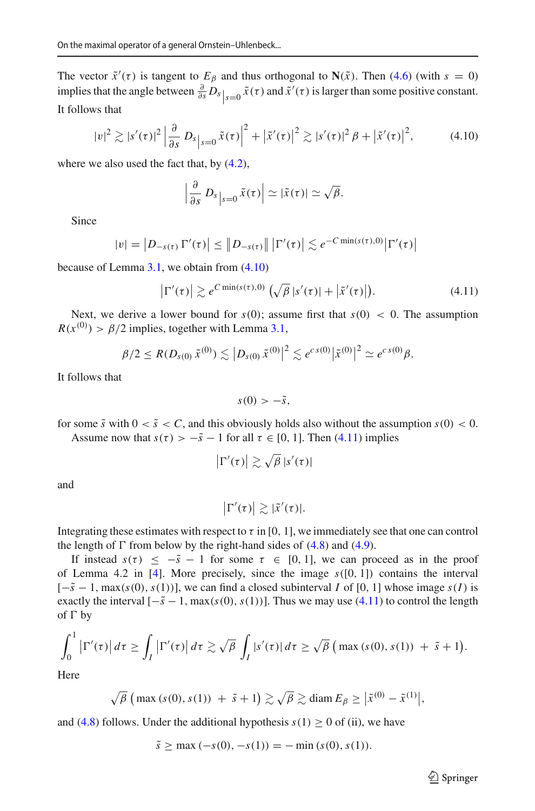The vector  $\tilde{x}'(\tau)$  is tangent to  $E_\beta$  and thus orthogonal to  $N(\tilde{x})$ . Then [\(4.6\)](#page-9-1) (with  $s = 0$ ) implies that the angle between  $\frac{\partial}{\partial s}D_s|_{s=0} \tilde{x}(\tau)$  and  $\tilde{x}'(\tau)$  is larger than some positive constant. It follows that

$$
|v|^2 \gtrsim |s'(\tau)|^2 \left| \frac{\partial}{\partial s} \, D_{s} \right|_{s=0} \tilde{x}(\tau) \right|^2 + \left| \tilde{x}'(\tau) \right|^2 \gtrsim |s'(\tau)|^2 \, \beta + \left| \tilde{x}'(\tau) \right|^2, \tag{4.10}
$$

where we also used the fact that, by  $(4.2)$ ,

<span id="page-11-0"></span>
$$
\left|\frac{\partial}{\partial s} D_s\right|_{s=0} \tilde{x}(\tau) \left| \simeq |\tilde{x}(\tau)| \simeq \sqrt{\beta}.
$$

Since

$$
|v| = |D_{-s(\tau)} \Gamma'(\tau)| \leq ||D_{-s(\tau)}|| |\Gamma'(\tau)| \lesssim e^{-C \min(s(\tau),0)} |\Gamma'(\tau)|
$$

because of Lemma [3.1,](#page-6-2) we obtain from [\(4.10\)](#page-11-0)

$$
\left|\Gamma'(\tau)\right| \gtrsim e^{C \min(s(\tau),0)} \left(\sqrt{\beta} \, |s'(\tau)| + \left|\tilde{x}'(\tau)\right|\right). \tag{4.11}
$$

Next, we derive a lower bound for  $s(0)$ ; assume first that  $s(0) < 0$ . The assumption  $R(x^{(0)}) > \beta/2$  implies, together with Lemma [3.1,](#page-6-2)

$$
\beta/2 \leq R(D_{s(0)}\tilde{x}^{(0)}) \lesssim |D_{s(0)}\tilde{x}^{(0)}|^2 \lesssim e^{c s(0)} |\tilde{x}^{(0)}|^2 \simeq e^{c s(0)} \beta.
$$

It follows that

<span id="page-11-1"></span>
$$
s(0) > -\tilde{s},
$$

for some  $\tilde{s}$  with  $0 < \tilde{s} < C$ , and this obviously holds also without the assumption  $s(0) < 0$ . Assume now that  $s(\tau) > -\tilde{s} - 1$  for all  $\tau \in [0, 1]$ . Then [\(4.11\)](#page-11-1) implies

$$
\left|\Gamma'(\tau)\right| \gtrsim \sqrt{\beta} \left|s'(\tau)\right|
$$

and

$$
\left|\Gamma'(\tau)\right| \gtrsim |\tilde{x}'(\tau)|.
$$

Integrating these estimates with respect to  $\tau$  in [0, 1], we immediately see that one can control the length of  $\Gamma$  from below by the right-hand sides of [\(4.8\)](#page-10-0) and [\(4.9\)](#page-10-1).

If instead  $s(\tau) \leq -\tilde{s} - 1$  for some  $\tau \in [0, 1]$ , we can proceed as in the proof of Lemma 4.2 in [\[4](#page-20-3)]. More precisely, since the image *s*([0, 1]) contains the interval  $[-\tilde{s} - 1, \max(s(0), s(1))]$ , we can find a closed subinterval *I* of [0, 1] whose image  $s(I)$  is exactly the interval  $[-\tilde{s} - 1, \max(s(0), s(1))]$ . Thus we may use [\(4.11\)](#page-11-1) to control the length of  $\Gamma$  by

$$
\int_0^1 \left| \Gamma'(\tau) \right| d\tau \ge \int_I \left| \Gamma'(\tau) \right| d\tau \gtrsim \sqrt{\beta} \int_I |s'(\tau)| d\tau \ge \sqrt{\beta} \left( \max(s(0), s(1)) + \tilde{s} + 1 \right).
$$

Here

$$
\sqrt{\beta}
$$
 (max (s(0), s(1)) +  $\tilde{s}$  + 1)  $\gtrsim \sqrt{\beta} \gtrsim \text{diam } E_{\beta} \ge |\tilde{x}^{(0)} - \tilde{x}^{(1)}|$ ,

and [\(4.8\)](#page-10-0) follows. Under the additional hypothesis  $s(1) \ge 0$  of (ii), we have

$$
\tilde{s} \ge \max(-s(0), -s(1)) = -\min(s(0), s(1)).
$$

 $\hat{\mathfrak{D}}$  Springer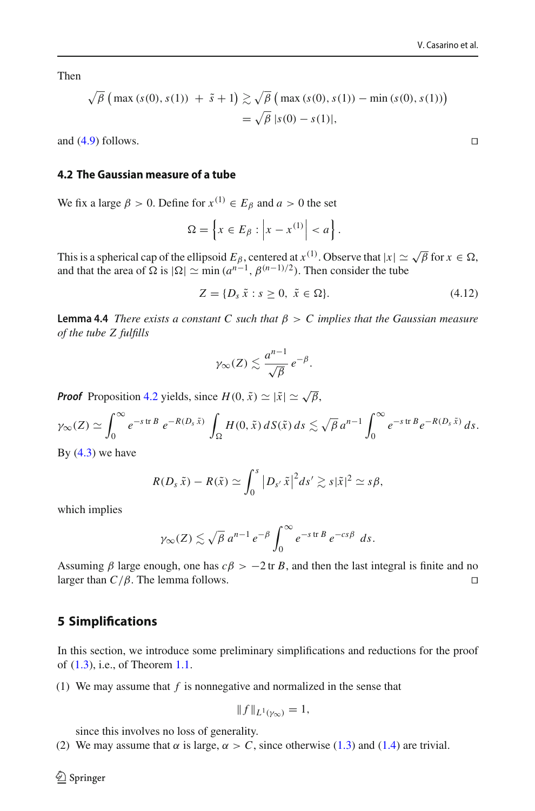Then

$$
\sqrt{\beta} \left( \max(s(0), s(1)) + \tilde{s} + 1 \right) \gtrsim \sqrt{\beta} \left( \max(s(0), s(1)) - \min(s(0), s(1)) \right) \n= \sqrt{\beta} |s(0) - s(1)|,
$$

and [\(4.9\)](#page-10-1) follows.

#### **4.2 The Gaussian measure of a tube**

We fix a large  $\beta > 0$ . Define for  $x^{(1)} \in E_\beta$  and  $a > 0$  the set

$$
\Omega = \left\{ x \in E_\beta : \left| x - x^{(1)} \right| < a \right\}.
$$

This is a spherical cap of the ellipsoid  $E_\beta$ , centered at  $x^{(1)}$ . Observe that  $|x| \simeq \sqrt{\beta}$  for  $x \in \Omega$ , and that the area of  $\Omega$  is  $|\Omega| \simeq \min (a^{n-1}, \beta^{(n-1)/2})$ . Then consider the tube

<span id="page-12-1"></span>
$$
Z = \{D_s \tilde{x} : s \ge 0, \tilde{x} \in \Omega\}.
$$
\n
$$
(4.12)
$$

<span id="page-12-2"></span>**Lemma 4.4** *There exists a constant C such that*  $\beta > C$  *implies that the Gaussian measure of the tube Z fulfills*

$$
\gamma_{\infty}(Z) \lesssim \frac{a^{n-1}}{\sqrt{\beta}} e^{-\beta}.
$$

*Proof* Proposition [4.2](#page-10-2) yields, since  $H(0, \tilde{x}) \simeq |\tilde{x}| \simeq \sqrt{\beta}$ ,

$$
\gamma_{\infty}(Z) \simeq \int_0^{\infty} e^{-s \operatorname{tr} B} e^{-R(D_s \tilde{x})} \int_{\Omega} H(0, \tilde{x}) dS(\tilde{x}) ds \lesssim \sqrt{\beta} a^{n-1} \int_0^{\infty} e^{-s \operatorname{tr} B} e^{-R(D_s \tilde{x})} ds.
$$

By  $(4.3)$  we have

$$
R(D_s\,\tilde{x})-R(\tilde{x})\simeq \int_0^s\big|D_{s'}\,\tilde{x}\big|^2ds'\gtrsim s|\tilde{x}|^2\simeq s\beta,
$$

which implies

$$
\gamma_{\infty}(Z) \lesssim \sqrt{\beta} a^{n-1} e^{-\beta} \int_0^{\infty} e^{-s \operatorname{tr} B} e^{-cs\beta} ds.
$$

Assuming  $\beta$  large enough, one has  $c\beta > -2$  tr *B*, and then the last integral is finite and no larger than  $C/\beta$ . The lemma follows. larger than  $C/\beta$ . The lemma follows.

#### <span id="page-12-0"></span>**5 Simplifications**

In this section, we introduce some preliminary simplifications and reductions for the proof of [\(1.3\)](#page-2-0), i.e., of Theorem [1.1.](#page-2-1)

(1) We may assume that *f* is nonnegative and normalized in the sense that

$$
||f||_{L^1(\gamma_\infty)}=1,
$$

since this involves no loss of generality.

(2) We may assume that  $\alpha$  is large,  $\alpha > C$ , since otherwise [\(1.3\)](#page-2-0) and [\(1.4\)](#page-3-0) are trivial.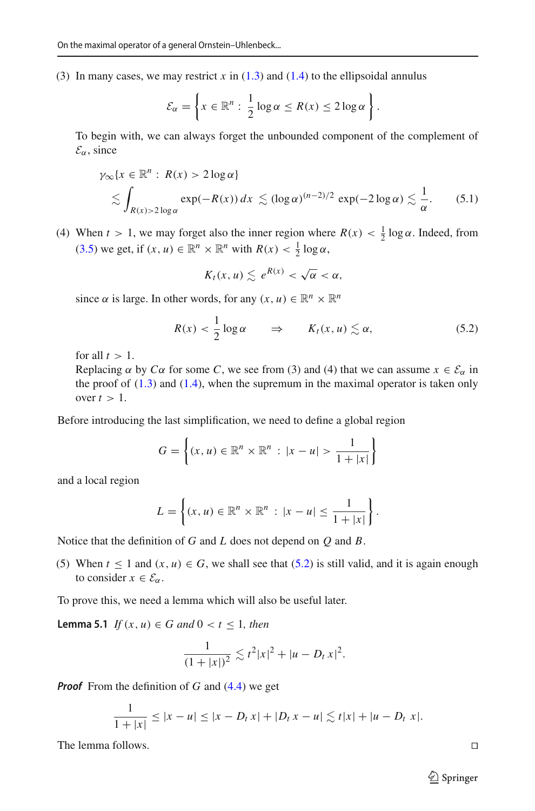(3) In many cases, we may restrict *x* in [\(1.3\)](#page-2-0) and [\(1.4\)](#page-3-0) to the ellipsoidal annulus

$$
\mathcal{E}_{\alpha} = \left\{ x \in \mathbb{R}^n : \frac{1}{2} \log \alpha \le R(x) \le 2 \log \alpha \right\}.
$$

To begin with, we can always forget the unbounded component of the complement of  $\mathcal{E}_{\alpha}$ , since

$$
\gamma_{\infty}\{x \in \mathbb{R}^n : R(x) > 2\log \alpha\}
$$
  
\$\lesssim \int\_{R(x) > 2\log \alpha} \exp(-R(x)) dx \lesssim (\log \alpha)^{(n-2)/2} \exp(-2\log \alpha) \lesssim \frac{1}{\alpha}\$. (5.1)

(4) When  $t > 1$ , we may forget also the inner region where  $R(x) < \frac{1}{2} \log \alpha$ . Indeed, from [\(3.5\)](#page-8-5) we get, if  $(x, u) \in \mathbb{R}^n \times \mathbb{R}^n$  with  $R(x) < \frac{1}{2} \log \alpha$ ,

$$
K_t(x,u)\lesssim e^{R(x)}<\sqrt{\alpha}<\alpha,
$$

since  $\alpha$  is large. In other words, for any  $(x, u) \in \mathbb{R}^n \times \mathbb{R}^n$ 

<span id="page-13-0"></span>
$$
R(x) < \frac{1}{2} \log \alpha \qquad \Rightarrow \qquad K_t(x, u) \lesssim \alpha,\tag{5.2}
$$

for all  $t > 1$ .

Replacing  $\alpha$  by  $C\alpha$  for some *C*, we see from (3) and (4) that we can assume  $x \in \mathcal{E}_{\alpha}$  in the proof of  $(1.3)$  and  $(1.4)$ , when the supremum in the maximal operator is taken only over  $t > 1$ .

Before introducing the last simplification, we need to define a global region

$$
G = \left\{ (x, u) \in \mathbb{R}^n \times \mathbb{R}^n : |x - u| > \frac{1}{1 + |x|} \right\}
$$

and a local region

$$
L = \left\{ (x, u) \in \mathbb{R}^n \times \mathbb{R}^n : |x - u| \le \frac{1}{1 + |x|} \right\}.
$$

Notice that the definition of *G* and *L* does not depend on *Q* and *B*.

(5) When  $t \le 1$  and  $(x, u) \in G$ , we shall see that [\(5.2\)](#page-13-0) is still valid, and it is again enough to consider  $x \in \mathcal{E}_{\alpha}$ .

To prove this, we need a lemma which will also be useful later.

**Lemma 5.1** *If*  $(x, u) \in G$  *and*  $0 < t \le 1$ *, then* 

<span id="page-13-1"></span>
$$
\frac{1}{(1+|x|)^2} \lesssim t^2 |x|^2 + |u - D_t x|^2.
$$

*Proof* From the definition of *G* and [\(4.4\)](#page-9-2) we get

$$
\frac{1}{1+|x|} \le |x-u| \le |x-D_t x| + |D_t x - u| \lesssim t|x| + |u-D_t x|.
$$

The lemma follows.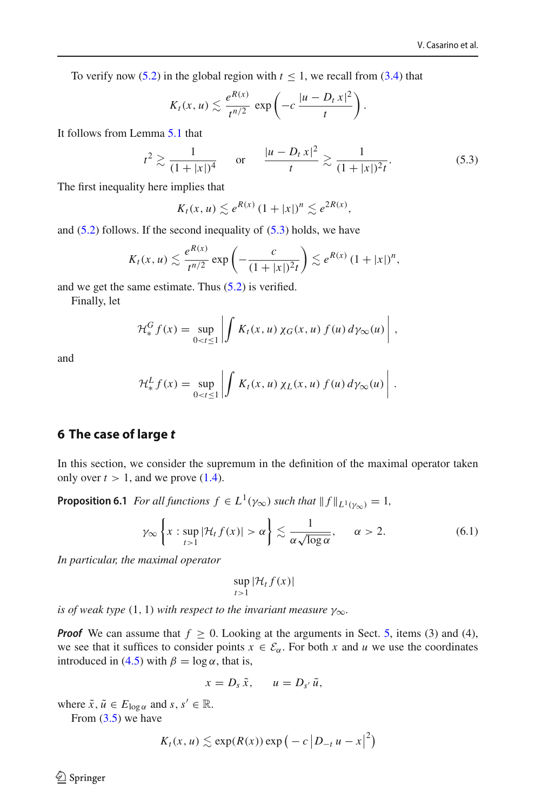To verify now [\(5.2\)](#page-13-0) in the global region with  $t \le 1$ , we recall from [\(3.4\)](#page-8-6) that

$$
K_t(x, u) \lesssim \frac{e^{R(x)}}{t^{n/2}} \exp\left(-c \frac{|u - D_t x|^2}{t}\right).
$$

It follows from Lemma [5.1](#page-13-1) that

$$
t^2 \gtrsim \frac{1}{(1+|x|)^4}
$$
 or  $\frac{|u-D_t x|^2}{t} \gtrsim \frac{1}{(1+|x|)^2 t}$ . (5.3)

The first inequality here implies that

<span id="page-14-2"></span>
$$
K_t(x, u) \lesssim e^{R(x)} (1+|x|)^n \lesssim e^{2R(x)},
$$

and  $(5.2)$  follows. If the second inequality of  $(5.3)$  holds, we have

$$
K_t(x, u) \lesssim \frac{e^{R(x)}}{t^{n/2}} \exp\left(-\frac{c}{(1+|x|)^2t}\right) \lesssim e^{R(x)} (1+|x|)^n,
$$

and we get the same estimate. Thus [\(5.2\)](#page-13-0) is verified.

Finally, let

$$
\mathcal{H}_*^G f(x) = \sup_{0 < t \leq 1} \left| \int K_t(x, u) \, \chi_G(x, u) \, f(u) \, d\gamma_\infty(u) \right| \, ,
$$

and

$$
\mathcal{H}_{*}^{L} f(x) = \sup_{0 < t \leq 1} \left| \int K_{t}(x, u) \, \chi_{L}(x, u) \, f(u) \, d\gamma_{\infty}(u) \right| \, .
$$

## <span id="page-14-1"></span>**6 The case of large** *t*

<span id="page-14-0"></span>In this section, we consider the supremum in the definition of the maximal operator taken only over  $t > 1$ , and we prove  $(1.4)$ .

**Proposition 6.1** *For all functions*  $f \in L^1(\gamma_\infty)$  *such that*  $||f||_{L^1(\gamma_\infty)} = 1$ *,* 

<span id="page-14-3"></span>
$$
\gamma_{\infty} \left\{ x : \sup_{t>1} |\mathcal{H}_t f(x)| > \alpha \right\} \lesssim \frac{1}{\alpha \sqrt{\log \alpha}}, \qquad \alpha > 2. \tag{6.1}
$$

*In particular, the maximal operator*

$$
\sup_{t>1} |\mathcal{H}_t f(x)|
$$

*is of weak type* (1, 1) *with respect to the invariant measure*  $\gamma_{\infty}$ *.* 

*Proof* We can assume that  $f \ge 0$ . Looking at the arguments in Sect. [5,](#page-12-0) items (3) and (4), we see that it suffices to consider points  $x \in \mathcal{E}_{\alpha}$ . For both *x* and *u* we use the coordinates introduced in [\(4.5\)](#page-9-3) with  $\beta = \log \alpha$ , that is,

$$
x=D_s\,\tilde{x},\qquad u=D_{s'}\,\tilde{u},
$$

where  $\tilde{x}$ ,  $\tilde{u} \in E_{\log \alpha}$  and  $s, s' \in \mathbb{R}$ .

From  $(3.5)$  we have

$$
K_t(x, u) \lesssim \exp(R(x)) \exp\big(-c\, \big|D_{-t}\,u - x\big|^2\big)
$$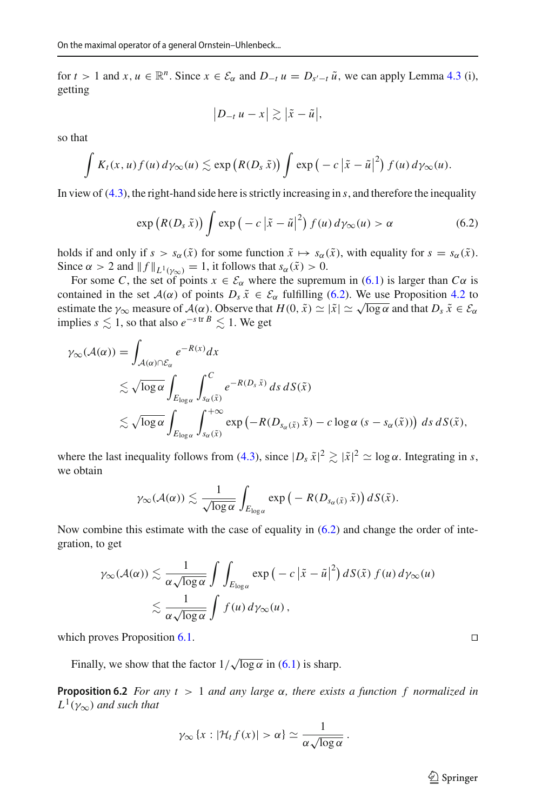for  $t > 1$  and  $x, u \in \mathbb{R}^n$ . Since  $x \in \mathcal{E}_{\alpha}$  and  $D_{-t} u = D_{s'-t} \tilde{u}$ , we can apply Lemma [4.3](#page-10-3) (i), getting

$$
|D_{-t} u - x| \gtrsim |\tilde{x} - \tilde{u}|,
$$

so that

$$
\int K_t(x, u) f(u) d\gamma_\infty(u) \lesssim \exp\left(R(D_s \tilde{x})\right) \int \exp\left(-c\left|\tilde{x} - \tilde{u}\right|^2\right) f(u) d\gamma_\infty(u).
$$

In view of [\(4.3\)](#page-8-4), the right-hand side here is strictly increasing in *s*, and therefore the inequality

<span id="page-15-0"></span>
$$
\exp\left(R(D_s\,\tilde{x})\right)\int \exp\left(-c\left|\tilde{x}-\tilde{u}\right|^2\right)f(u)\,d\gamma_\infty(u) > \alpha\tag{6.2}
$$

holds if and only if  $s > s_\alpha(\tilde{x})$  for some function  $\tilde{x} \mapsto s_\alpha(\tilde{x})$ , with equality for  $s = s_\alpha(\tilde{x})$ . Since  $\alpha > 2$  and  $|| f ||_{L^1(\gamma_{\infty})} = 1$ , it follows that  $s_{\alpha}(\tilde{x}) > 0$ .

For some *C*, the set of points  $x \in \mathcal{E}_{\alpha}$  where the supremum in [\(6.1\)](#page-14-3) is larger than  $C\alpha$  is contained in the set  $A(\alpha)$  of points  $D_s \tilde{x} \in \mathcal{E}_{\alpha}$  fulfilling [\(6.2\)](#page-15-0). We use Proposition [4.2](#page-10-2) to estimate the  $\gamma_{\infty}$  measure of  $\mathcal{A}(\alpha)$ . Observe that  $H(0, \tilde{x}) \simeq |\tilde{x}| \simeq \sqrt{\log \alpha}$  and that  $D_s \tilde{x} \in \mathcal{E}_{\alpha}$ implies *s*  $\leq 1$ , so that also  $e^{-s \text{ tr } B} \leq 1$ . We get

$$
\gamma_{\infty}(\mathcal{A}(\alpha)) = \int_{\mathcal{A}(\alpha) \cap \mathcal{E}_{\alpha}} e^{-R(x)} dx
$$
  
\n
$$
\lesssim \sqrt{\log \alpha} \int_{E_{\log \alpha}} \int_{s_{\alpha}(\tilde{x})}^{C} e^{-R(D_{\tilde{s}} \tilde{x})} ds dS(\tilde{x})
$$
  
\n
$$
\lesssim \sqrt{\log \alpha} \int_{E_{\log \alpha}} \int_{s_{\alpha}(\tilde{x})}^{+\infty} \exp(-R(D_{s_{\alpha}(\tilde{x})} \tilde{x}) - c \log \alpha (s - s_{\alpha}(\tilde{x}))) ds dS(\tilde{x}),
$$

where the last inequality follows from [\(4.3\)](#page-8-4), since  $|D_s \tilde{x}|^2 \gtrsim |\tilde{x}|^2 \simeq \log \alpha$ . Integrating in *s*, we obtain

$$
\gamma_{\infty}(\mathcal{A}(\alpha)) \lesssim \frac{1}{\sqrt{\log \alpha}} \int_{E_{\log \alpha}} \exp(-R(D_{s_{\alpha}(\tilde{x})}\tilde{x})) dS(\tilde{x}).
$$

Now combine this estimate with the case of equality in [\(6.2\)](#page-15-0) and change the order of integration, to get

$$
\gamma_{\infty}(\mathcal{A}(\alpha)) \lesssim \frac{1}{\alpha \sqrt{\log \alpha}} \int \int_{E_{\log \alpha}} \exp(-c |\tilde{x} - \tilde{u}|^2) dS(\tilde{x}) f(u) d\gamma_{\infty}(u)
$$
  

$$
\lesssim \frac{1}{\alpha \sqrt{\log \alpha}} \int f(u) d\gamma_{\infty}(u),
$$

which proves Proposition [6.1.](#page-14-0)  $\Box$ 

Finally, we show that the factor  $1/\sqrt{\log \alpha}$  in [\(6.1\)](#page-14-3) is sharp.

**Proposition 6.2** *For any t* > 1 *and any large*  $\alpha$ *, there exists a function f normalized in*  $L^1(\gamma_\infty)$  *and such that* 

$$
\gamma_{\infty}
$$
 { $x : |\mathcal{H}_t f(x)| > \alpha$ }  $\simeq \frac{1}{\alpha \sqrt{\log \alpha}}$ .

 $\hat{\mathfrak{D}}$  Springer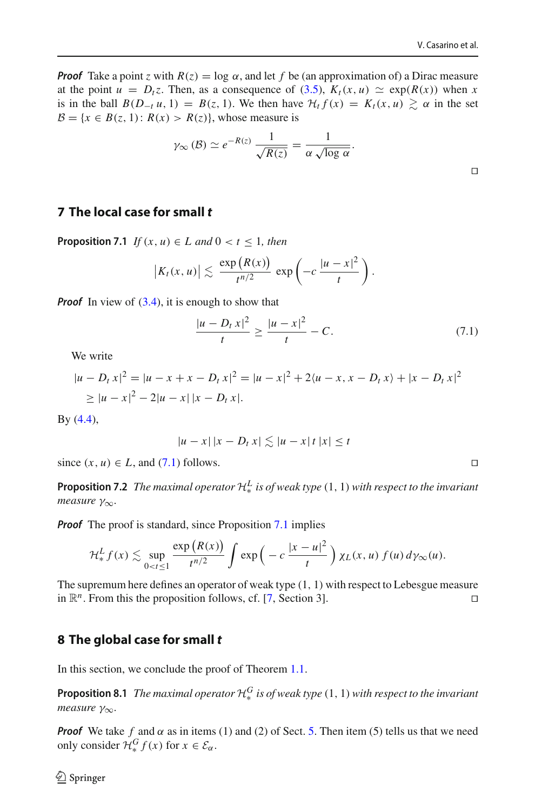$\Box$ 

*Proof* Take a point *z* with  $R(z) = \log \alpha$ , and let *f* be (an approximation of) a Dirac measure at the point  $u = D_t z$ . Then, as a consequence of [\(3.5\)](#page-8-5),  $K_t(x, u) \simeq \exp(R(x))$  when x is in the ball  $B(D_{-t}u, 1) = B(z, 1)$ . We then have  $H_t f(x) = K_t(x, u) \geq \alpha$  in the set  $B = \{x \in B(z, 1): R(x) > R(z)\}\)$ , whose measure is

$$
\gamma_{\infty}(\mathcal{B}) \simeq e^{-R(z)} \frac{1}{\sqrt{R(z)}} = \frac{1}{\alpha \sqrt{\log \alpha}}.
$$

### <span id="page-16-3"></span><span id="page-16-0"></span>**7 The local case for small** *t*

**Proposition 7.1** *If*  $(x, u) \in L$  *and*  $0 < t \leq 1$ *, then* 

$$
|K_t(x,u)| \lesssim \frac{\exp(R(x))}{t^{n/2}} \exp\left(-c\frac{|u-x|^2}{t}\right).
$$

*Proof* In view of [\(3.4\)](#page-8-6), it is enough to show that

<span id="page-16-2"></span>
$$
\frac{|u - D_t x|^2}{t} \ge \frac{|u - x|^2}{t} - C.
$$
 (7.1)

We write

$$
|u - D_t x|^2 = |u - x + x - D_t x|^2 = |u - x|^2 + 2\langle u - x, x - D_t x \rangle + |x - D_t x|^2
$$
  
\n
$$
\ge |u - x|^2 - 2|u - x||x - D_t x|.
$$

By [\(4.4\)](#page-9-2),

$$
|u - x| |x - D_t x| \lesssim |u - x| |x| \le t
$$

since  $(x, u) \in L$ , and [\(7.1\)](#page-16-2) follows.

**Proposition 7.2** *The maximal operator*  $\mathcal{H}^L_*$  *is of weak type*  $(1, 1)$  *with respect to the invariant measure* γ∞*.*

*Proof* The proof is standard, since Proposition [7.1](#page-16-3) implies

$$
\mathcal{H}_*^L f(x) \lesssim \sup_{0 < t \leq 1} \frac{\exp(R(x))}{t^{n/2}} \int \exp\left(-c \, \frac{|x-u|^2}{t}\right) \chi_L(x,u) \, f(u) \, d\gamma_\infty(u).
$$

The supremum here defines an operator of weak type (1, 1) with respect to Lebesgue measure in  $\mathbb{R}^n$ . From this the proposition follows, cf. [\[7](#page-20-1), Section 3].

#### <span id="page-16-1"></span>**8 The global case for small** *t*

<span id="page-16-4"></span>In this section, we conclude the proof of Theorem [1.1.](#page-2-1)

**Proposition 8.1** *The maximal operator*  $\mathcal{H}^G_*$  *is of weak type*  $(1, 1)$  *with respect to the invariant measure* γ<sub>∞</sub>.

*Proof* We take f and  $\alpha$  as in items (1) and (2) of Sect. [5.](#page-12-0) Then item (5) tells us that we need only consider  $\mathcal{H}^G_* f(x)$  for  $x \in \mathcal{E}_\alpha$ .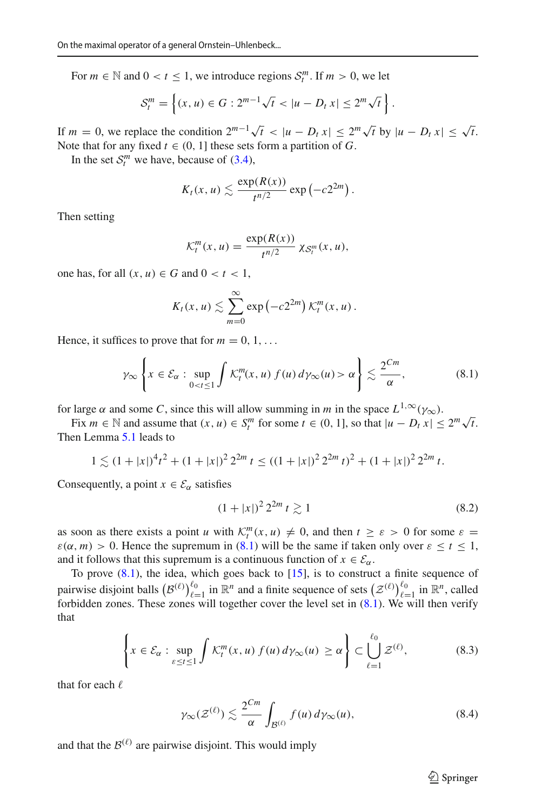For  $m \in \mathbb{N}$  and  $0 < t \leq 1$ , we introduce regions  $\mathcal{S}_t^m$ . If  $m > 0$ , we let

$$
S_t^m = \left\{ (x, u) \in G : 2^{m-1} \sqrt{t} < |u - D_t x| \le 2^m \sqrt{t} \right\}.
$$

If  $m = 0$ , we replace the condition  $2^{m-1}\sqrt{t} < |u - D_t x| \leq 2^m\sqrt{t}$  by  $|u - D_t x| \leq \sqrt{t}$ . Note that for any fixed  $t \in (0, 1]$  these sets form a partition of *G*.

In the set  $S_t^m$  we have, because of [\(3.4\)](#page-8-6),

$$
K_t(x,u) \lesssim \frac{\exp(R(x))}{t^{n/2}} \exp(-c2^{2m}).
$$

Then setting

$$
\mathcal{K}_t^m(x, u) = \frac{\exp(R(x))}{t^{n/2}} \chi_{\mathcal{S}_t^m}(x, u),
$$

one has, for all  $(x, u) \in G$  and  $0 < t < 1$ ,

$$
K_t(x, u) \lesssim \sum_{m=0}^{\infty} \exp(-c2^{2m}) \, \mathcal{K}_t^m(x, u) \, .
$$

Hence, it suffices to prove that for  $m = 0, 1, \ldots$ 

<span id="page-17-0"></span>
$$
\gamma_{\infty}\left\{x \in \mathcal{E}_{\alpha}: \sup_{0 < t \le 1} \int \mathcal{K}_t^m(x, u) \, f(u) \, d\gamma_{\infty}(u) > \alpha\right\} \lesssim \frac{2^{Cm}}{\alpha},\tag{8.1}
$$

for large  $\alpha$  and some *C*, since this will allow summing in *m* in the space  $L^{1,\infty}(\gamma_{\infty})$ .

Fix  $m \in \mathbb{N}$  and assume that  $(x, u) \in S_l^m$  for some  $t \in (0, 1]$ , so that  $|u - D_t x| \leq 2^m \sqrt{t}$ . Then Lemma [5.1](#page-13-1) leads to

$$
1 \lesssim (1+|x|)^{4}t^{2} + (1+|x|)^{2}2^{2m} t \leq ((1+|x|)^{2}2^{2m} t)^{2} + (1+|x|)^{2}2^{2m} t.
$$

Consequently, a point  $x \in \mathcal{E}_{\alpha}$  satisfies

<span id="page-17-2"></span>
$$
(1+|x|)^2 2^{2m} t \gtrsim 1 \tag{8.2}
$$

as soon as there exists a point *u* with  $K_t^m(x, u) \neq 0$ , and then  $t \geq \varepsilon > 0$  for some  $\varepsilon =$  $\varepsilon(\alpha, m) > 0$ . Hence the supremum in [\(8.1\)](#page-17-0) will be the same if taken only over  $\varepsilon \le t \le 1$ , and it follows that this supremum is a continuous function of  $x \in \mathcal{E}_{\alpha}$ .

To prove  $(8.1)$ , the idea, which goes back to  $[15]$ , is to construct a finite sequence of pairwise disjoint balls  $(B^{(\ell)})_{\ell=1}^{\ell_0}$  in  $\mathbb{R}^n$  and a finite sequence of sets  $(\mathcal{Z}^{(\ell)})_{\ell=1}^{\ell_0}$  in  $\mathbb{R}^n$ , called forbidden zones. These zones will together cover the level set in  $(8.1)$ . We will then verify that

<span id="page-17-1"></span>
$$
\left\{ x \in \mathcal{E}_{\alpha} : \sup_{\varepsilon \le t \le 1} \int \mathcal{K}_t^m(x, u) \, f(u) \, d\gamma_\infty(u) \ge \alpha \right\} \subset \bigcup_{\ell=1}^{\ell_0} \mathcal{Z}^{(\ell)},\tag{8.3}
$$

that for each  $\ell$ 

$$
\gamma_{\infty}(\mathcal{Z}^{(\ell)}) \lesssim \frac{2^{Cm}}{\alpha} \int_{\mathcal{B}^{(\ell)}} f(u) \, d\gamma_{\infty}(u),\tag{8.4}
$$

and that the  $\mathcal{B}^{(\ell)}$  are pairwise disjoint. This would imply

<span id="page-17-3"></span> $\circled{2}$  Springer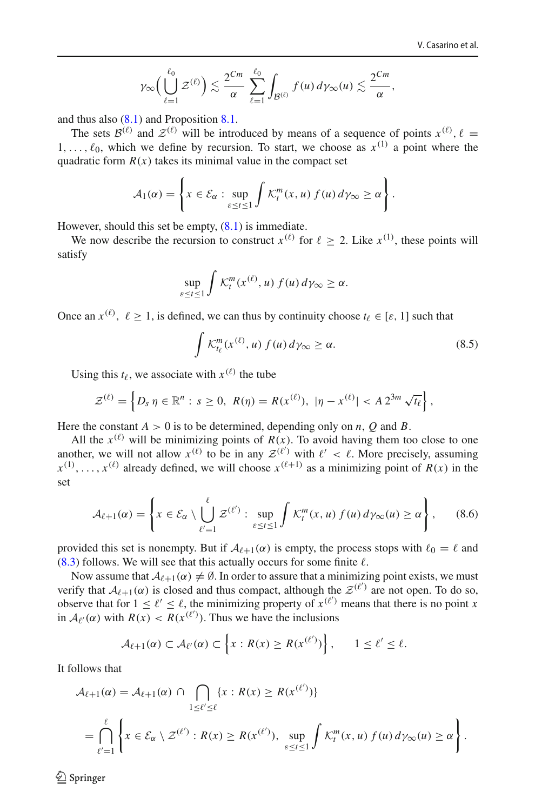$$
\gamma_{\infty}\Big(\bigcup_{\ell=1}^{\ell_0}\mathcal{Z}^{(\ell)}\Big)\lesssim \frac{2^{Cm}}{\alpha}\sum_{\ell=1}^{\ell_0}\int_{\mathcal{B}^{(\ell)}}f(u)\,d\gamma_{\infty}(u)\lesssim \frac{2^{Cm}}{\alpha},
$$

and thus also [\(8.1\)](#page-17-0) and Proposition [8.1.](#page-16-4)

The sets  $\mathcal{B}^{(\ell)}$  and  $\mathcal{Z}^{(\ell)}$  will be introduced by means of a sequence of points  $x^{(\ell)}$ ,  $\ell =$ 1,...,  $\ell_0$ , which we define by recursion. To start, we choose as  $x^{(1)}$  a point where the quadratic form  $R(x)$  takes its minimal value in the compact set

$$
\mathcal{A}_1(\alpha) = \left\{ x \in \mathcal{E}_{\alpha} : \sup_{\varepsilon \le t \le 1} \int \mathcal{K}_t^m(x, u) \, f(u) \, d\gamma_{\infty} \ge \alpha \right\}.
$$

However, should this set be empty,  $(8.1)$  is immediate.

We now describe the recursion to construct  $x^{(\ell)}$  for  $\ell \geq 2$ . Like  $x^{(1)}$ , these points will satisfy

$$
\sup_{\varepsilon \le t \le 1} \int \mathcal{K}_t^m(x^{(\ell)}, u) f(u) d\gamma_\infty \ge \alpha.
$$

Once an  $x^{(\ell)}$ ,  $\ell > 1$ , is defined, we can thus by continuity choose  $t_{\ell} \in [\varepsilon, 1]$  such that

<span id="page-18-0"></span>
$$
\int \mathcal{K}_{t_{\ell}}^{m}(x^{(\ell)}, u) f(u) d\gamma_{\infty} \ge \alpha.
$$
 (8.5)

Using this  $t_{\ell}$ , we associate with  $x^{(\ell)}$  the tube

$$
\mathcal{Z}^{(\ell)} = \left\{ D_s \, \eta \in \mathbb{R}^n : s \geq 0, \ R(\eta) = R(x^{(\ell)}), \ |\eta - x^{(\ell)}| < A \, 2^{3m} \, \sqrt{t_\ell} \right\},
$$

Here the constant  $A > 0$  is to be determined, depending only on *n*, *O* and *B*.

All the  $x^{(\ell)}$  will be minimizing points of  $R(x)$ . To avoid having them too close to one another, we will not allow  $x^{(\ell)}$  to be in any  $\mathcal{Z}^{(\ell')}$  with  $\ell' < \ell$ . More precisely, assuming  $x^{(1)}, \ldots, x^{(\ell)}$  already defined, we will choose  $x^{(\ell+1)}$  as a minimizing point of  $R(x)$  in the set

<span id="page-18-1"></span>
$$
\mathcal{A}_{\ell+1}(\alpha) = \left\{ x \in \mathcal{E}_{\alpha} \setminus \bigcup_{\ell'=1}^{\ell} \mathcal{Z}^{(\ell')} : \sup_{\varepsilon \le t \le 1} \int \mathcal{K}_t^m(x, u) \, f(u) \, d\gamma_\infty(u) \ge \alpha \right\},\qquad(8.6)
$$

provided this set is nonempty. But if  $A_{\ell+1}(\alpha)$  is empty, the process stops with  $\ell_0 = \ell$  and  $(8.3)$  follows. We will see that this actually occurs for some finite  $\ell$ .

Now assume that  $A_{\ell+1}(\alpha) \neq \emptyset$ . In order to assure that a minimizing point exists, we must verify that  $A_{\ell+1}(\alpha)$  is closed and thus compact, although the  $\mathcal{Z}^{(\ell')}$  are not open. To do so, observe that for  $1 \leq \ell' \leq \ell$ , the minimizing property of  $x^{(\ell')}$  means that there is no point *x* in  $A_{\ell}(\alpha)$  with  $R(x) < R(x^{(\ell')})$ . Thus we have the inclusions

$$
\mathcal{A}_{\ell+1}(\alpha) \subset \mathcal{A}_{\ell'}(\alpha) \subset \left\{x: R(x) \geq R(x^{(\ell')})\right\}, \qquad 1 \leq \ell' \leq \ell.
$$

It follows that

$$
\mathcal{A}_{\ell+1}(\alpha) = \mathcal{A}_{\ell+1}(\alpha) \cap \bigcap_{1 \leq \ell' \leq \ell} \{x : R(x) \geq R(x^{(\ell')})\}
$$
\n
$$
= \bigcap_{\ell'=1}^{\ell} \left\{x \in \mathcal{E}_{\alpha} \setminus \mathcal{Z}^{(\ell')} : R(x) \geq R(x^{(\ell')}), \sup_{\varepsilon \leq t \leq 1} \int \mathcal{K}_t^m(x, u) f(u) d\gamma_\infty(u) \geq \alpha \right\}.
$$

 $\circledcirc$  Springer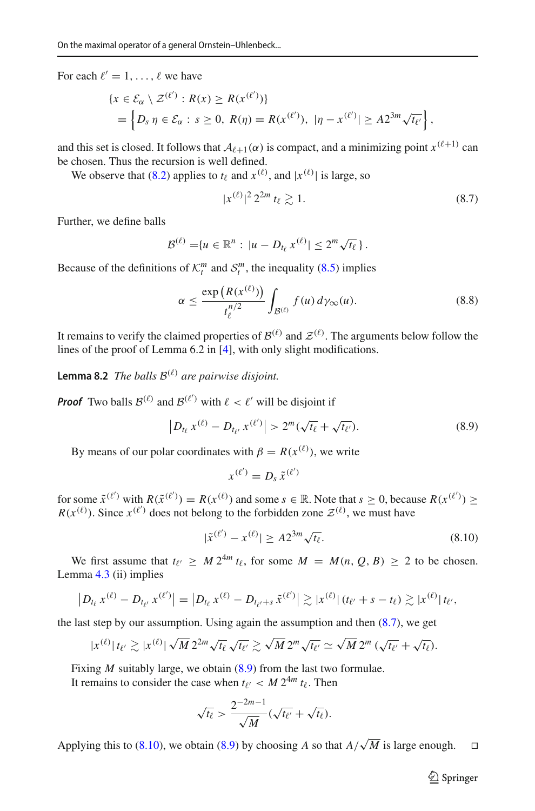For each  $\ell' = 1, \ldots, \ell$  we have

$$
\begin{aligned} \{x \in \mathcal{E}_{\alpha} \setminus \mathcal{Z}^{(\ell')} : R(x) \ge R(x^{(\ell')})\} \\ &= \left\{D_s \; \eta \in \mathcal{E}_{\alpha} : s \ge 0, \; R(\eta) = R(x^{(\ell')}), \; |\eta - x^{(\ell')}| \ge A 2^{3m} \sqrt{t_{\ell'}}\right\}, \end{aligned}
$$

and this set is closed. It follows that  $A_{\ell+1}(\alpha)$  is compact, and a minimizing point  $x^{(\ell+1)}$  can be chosen. Thus the recursion is well defined.

We observe that [\(8.2\)](#page-17-2) applies to  $t_{\ell}$  and  $x^{(\ell)}$ , and  $|x^{(\ell)}|$  is large, so

<span id="page-19-3"></span><span id="page-19-0"></span>
$$
|x^{(\ell)}|^2 2^{2m} t_\ell \gtrsim 1. \tag{8.7}
$$

Further, we define balls

$$
\mathcal{B}^{(\ell)} = \{u \in \mathbb{R}^n : |u - D_{t_\ell} x^{(\ell)}| \leq 2^m \sqrt{t_\ell}\}.
$$

Because of the definitions of  $K_t^m$  and  $S_t^m$ , the inequality [\(8.5\)](#page-18-0) implies

$$
\alpha \le \frac{\exp\left(R(x^{(\ell)})\right)}{t_{\ell}^{n/2}} \int_{\mathcal{B}^{(\ell)}} f(u) \, d\gamma_{\infty}(u). \tag{8.8}
$$

It remains to verify the claimed properties of  $\mathcal{B}^{(\ell)}$  and  $\mathcal{Z}^{(\ell)}$ . The arguments below follow the lines of the proof of Lemma 6.2 in [\[4\]](#page-20-3), with only slight modifications.

**Lemma 8.2** *The balls*  $B^{(\ell)}$  *are pairwise disjoint.* 

**Proof** Two balls  $\mathcal{B}^{(\ell)}$  and  $\mathcal{B}^{(\ell')}$  with  $\ell < \ell'$  will be disjoint if

<span id="page-19-1"></span>
$$
\left| D_{t_{\ell}} x^{(\ell)} - D_{t_{\ell'}} x^{(\ell')} \right| > 2^m (\sqrt{t_{\ell}} + \sqrt{t_{\ell'}}). \tag{8.9}
$$

By means of our polar coordinates with  $\beta = R(x^{(\ell)})$ , we write

 $x^{(\ell')} = D_s \, \tilde{x}^{(\ell')}$ 

for some  $\tilde{x}^{(\ell')}$  with  $R(\tilde{x}^{(\ell')}) = R(x^{(\ell)})$  and some  $s \in \mathbb{R}$ . Note that  $s \ge 0$ , because  $R(x^{(\ell')}) \ge$  $R(x^{(\ell)})$ . Since  $x^{(\ell')}$  does not belong to the forbidden zone  $\mathcal{Z}^{(\ell)}$ , we must have

<span id="page-19-2"></span>
$$
|\tilde{x}^{(\ell')} - x^{(\ell)}| \ge A 2^{3m} \sqrt{t_\ell}.
$$
\n(8.10)

We first assume that  $t_{\ell'} \geq M 2^{4m} t_{\ell}$ , for some  $M = M(n, Q, B) \geq 2$  to be chosen. Lemma [4.3](#page-10-3) (ii) implies

$$
\left| D_{t_{\ell}} x^{(\ell)} - D_{t_{\ell'}} x^{(\ell')} \right| = \left| D_{t_{\ell}} x^{(\ell)} - D_{t_{\ell}+s} \tilde{x}^{(\ell')} \right| \gtrsim |x^{(\ell)}| \left( t_{\ell'} + s - t_{\ell} \right) \gtrsim |x^{(\ell)}| \left( t_{\ell'},
$$

the last step by our assumption. Using again the assumption and then  $(8.7)$ , we get

$$
|x^{(\ell)}|t_{\ell'} \gtrsim |x^{(\ell)}| \sqrt{M} 2^{2m} \sqrt{t_{\ell}} \sqrt{t_{\ell'}} \gtrsim \sqrt{M} 2^{m} \sqrt{t_{\ell'}} \simeq \sqrt{M} 2^{m} (\sqrt{t_{\ell'}} + \sqrt{t_{\ell}}).
$$

Fixing *M* suitably large, we obtain [\(8.9\)](#page-19-1) from the last two formulae.

It remains to consider the case when  $t_{\ell'} < M 2^{4m} t_{\ell}$ . Then

$$
\sqrt{t_{\ell}} > \frac{2^{-2m-1}}{\sqrt{M}} (\sqrt{t_{\ell'}} + \sqrt{t_{\ell}}).
$$

Applying this to [\(8.10\)](#page-19-2), we obtain [\(8.9\)](#page-19-1) by choosing *A* so that  $A/\sqrt{M}$  is large enough.  $\square$ 

 $\hat{\mathfrak{D}}$  Springer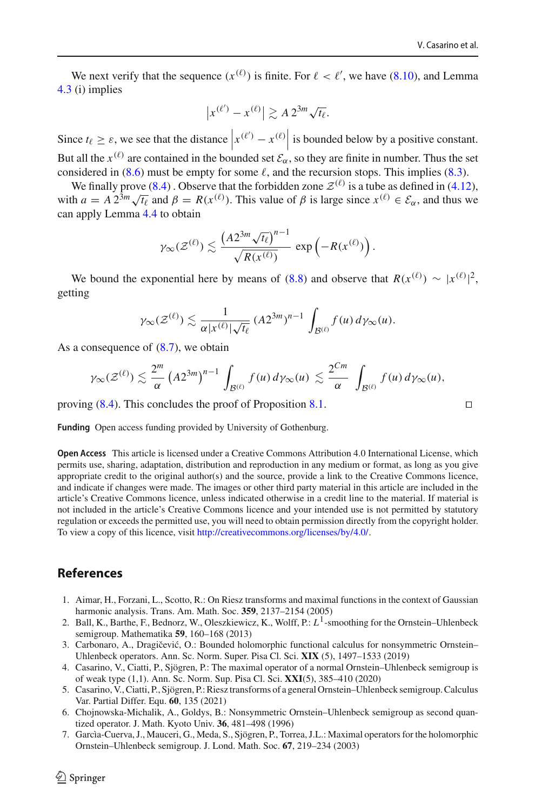We next verify that the sequence  $(x^{(\ell)})$  is finite. For  $\ell < \ell'$ , we have [\(8.10\)](#page-19-2), and Lemma [4.3](#page-10-3) (i) implies

$$
|x^{(\ell')} - x^{(\ell)}| \gtrsim A 2^{3m} \sqrt{t_\ell}.
$$

Since  $t_\ell \geq \varepsilon$ , we see that the distance  $|x^{(\ell')}-x^{(\ell)}|$  is bounded below by a positive constant. But all the  $x^{(\ell)}$  are contained in the bounded set  $\mathcal{E}_{\alpha}$ , so they are finite in number. Thus the set considered in  $(8.6)$  must be empty for some  $\ell$ , and the recursion stops. This implies  $(8.3)$ .

We finally prove [\(8.4\)](#page-17-3). Observe that the forbidden zone  $\mathcal{Z}^{(\ell)}$  is a tube as defined in [\(4.12\)](#page-12-1), with  $a = A 2^{3m} \sqrt{t_\ell}$  and  $\beta = R(x^{(\ell)})$ . This value of  $\beta$  is large since  $x^{(\ell)} \in \mathcal{E}_{\alpha}$ , and thus we can apply Lemma [4.4](#page-12-2) to obtain

$$
\gamma_{\infty}(\mathcal{Z}^{(\ell)}) \lesssim \frac{\left(A 2^{3m} \sqrt{t_{\ell}}\right)^{n-1}}{\sqrt{R(x^{(\ell)})}} \, \exp\left(-R(x^{(\ell)})\right).
$$

We bound the exponential here by means of [\(8.8\)](#page-19-3) and observe that  $R(x^{(\ell)}) \sim |x^{(\ell)}|^2$ , getting

$$
\gamma_{\infty}(\mathcal{Z}^{(\ell)}) \lesssim \frac{1}{\alpha |x^{(\ell)}| \sqrt{t_{\ell}}} (A 2^{3m})^{n-1} \int_{\mathcal{B}^{(\ell)}} f(u) d\gamma_{\infty}(u).
$$

As a consequence of [\(8.7\)](#page-19-0), we obtain

$$
\gamma_{\infty}(\mathcal{Z}^{(\ell)}) \lesssim \frac{2^m}{\alpha} \left( A 2^{3m} \right)^{n-1} \int_{\mathcal{B}^{(\ell)}} f(u) \, d\gamma_{\infty}(u) \lesssim \frac{2^{Cm}}{\alpha} \int_{\mathcal{B}^{(\ell)}} f(u) \, d\gamma_{\infty}(u),
$$

proving  $(8.4)$ . This concludes the proof of Proposition [8.1.](#page-16-4)

**Funding** Open access funding provided by University of Gothenburg.

**Open Access** This article is licensed under a Creative Commons Attribution 4.0 International License, which permits use, sharing, adaptation, distribution and reproduction in any medium or format, as long as you give appropriate credit to the original author(s) and the source, provide a link to the Creative Commons licence, and indicate if changes were made. The images or other third party material in this article are included in the article's Creative Commons licence, unless indicated otherwise in a credit line to the material. If material is not included in the article's Creative Commons licence and your intended use is not permitted by statutory regulation or exceeds the permitted use, you will need to obtain permission directly from the copyright holder. To view a copy of this licence, visit [http://creativecommons.org/licenses/by/4.0/.](http://creativecommons.org/licenses/by/4.0/)

#### **References**

- <span id="page-20-2"></span>1. Aimar, H., Forzani, L., Scotto, R.: On Riesz transforms and maximal functions in the context of Gaussian harmonic analysis. Trans. Am. Math. Soc. **359**, 2137–2154 (2005)
- <span id="page-20-0"></span>2. Ball, K., Barthe, F., Bednorz, W., Oleszkiewicz, K., Wolff, P.: *L*1-smoothing for the Ornstein–Uhlenbeck semigroup. Mathematika **59**, 160–168 (2013)
- <span id="page-20-4"></span>3. Carbonaro, A., Dragičević, O.: Bounded holomorphic functional calculus for nonsymmetric Ornstein– Uhlenbeck operators. Ann. Sc. Norm. Super. Pisa Cl. Sci. **XIX** (5), 1497–1533 (2019)
- <span id="page-20-3"></span>4. Casarino, V., Ciatti, P., Sjögren, P.: The maximal operator of a normal Ornstein–Uhlenbeck semigroup is of weak type (1,1). Ann. Sc. Norm. Sup. Pisa Cl. Sci. **XXI**(5), 385–410 (2020)
- <span id="page-20-6"></span>5. Casarino, V., Ciatti, P., Sjögren, P.: Riesz transforms of a general Ornstein–Uhlenbeck semigroup. Calculus Var. Partial Differ. Equ. **60**, 135 (2021)
- <span id="page-20-5"></span>6. Chojnowska-Michalik, A., Goldys, B.: Nonsymmetric Ornstein–Uhlenbeck semigroup as second quantized operator. J. Math. Kyoto Univ. **36**, 481–498 (1996)
- <span id="page-20-1"></span>7. Garcìa-Cuerva, J., Mauceri, G., Meda, S., Sjögren, P., Torrea, J.L.: Maximal operators for the holomorphic Ornstein–Uhlenbeck semigroup. J. Lond. Math. Soc. **67**, 219–234 (2003)